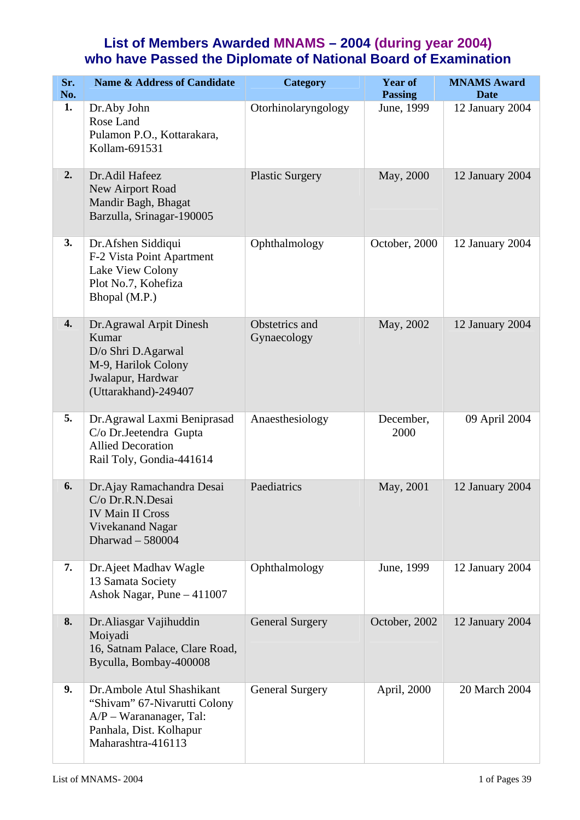## **List of Members Awarded MNAMS – 2004 (during year 2004) who have Passed the Diplomate of National Board of Examination**

| Sr.<br>No.       | <b>Name &amp; Address of Candidate</b>                                                                                                  | Category                      | <b>Year of</b><br><b>Passing</b> | <b>MNAMS Award</b><br><b>Date</b> |
|------------------|-----------------------------------------------------------------------------------------------------------------------------------------|-------------------------------|----------------------------------|-----------------------------------|
| 1.               | Dr.Aby John<br>Rose Land<br>Pulamon P.O., Kottarakara,<br>Kollam-691531                                                                 | Otorhinolaryngology           | June, 1999                       | 12 January 2004                   |
| 2.               | Dr.Adil Hafeez<br>New Airport Road<br>Mandir Bagh, Bhagat<br>Barzulla, Srinagar-190005                                                  | <b>Plastic Surgery</b>        | May, 2000                        | 12 January 2004                   |
| 3.               | Dr. Afshen Siddiqui<br>F-2 Vista Point Apartment<br>Lake View Colony<br>Plot No.7, Kohefiza<br>Bhopal (M.P.)                            | Ophthalmology                 | October, 2000                    | 12 January 2004                   |
| $\overline{4}$ . | Dr.Agrawal Arpit Dinesh<br>Kumar<br>D/o Shri D.Agarwal<br>M-9, Harilok Colony<br>Jwalapur, Hardwar<br>(Uttarakhand)-249407              | Obstetrics and<br>Gynaecology | May, 2002                        | 12 January 2004                   |
| 5.               | Dr.Agrawal Laxmi Beniprasad<br>C/o Dr.Jeetendra Gupta<br><b>Allied Decoration</b><br>Rail Toly, Gondia-441614                           | Anaesthesiology               | December,<br>2000                | 09 April 2004                     |
| 6.               | Dr. Ajay Ramachandra Desai<br>C/o Dr.R.N.Desai<br><b>IV Main II Cross</b><br>Vivekanand Nagar<br>Dharwad - 580004                       | Paediatrics                   | May, 2001                        | 12 January 2004                   |
| 7.               | Dr.Ajeet Madhav Wagle<br>13 Samata Society<br>Ashok Nagar, Pune - 411007                                                                | Ophthalmology                 | June, 1999                       | 12 January 2004                   |
| 8.               | Dr.Aliasgar Vajihuddin<br>Moiyadi<br>16, Satnam Palace, Clare Road,<br>Byculla, Bombay-400008                                           | <b>General Surgery</b>        | October, 2002                    | 12 January 2004                   |
| 9.               | Dr.Ambole Atul Shashikant<br>"Shivam" 67-Nivarutti Colony<br>$A/P$ – Warananager, Tal:<br>Panhala, Dist. Kolhapur<br>Maharashtra-416113 | <b>General Surgery</b>        | April, 2000                      | 20 March 2004                     |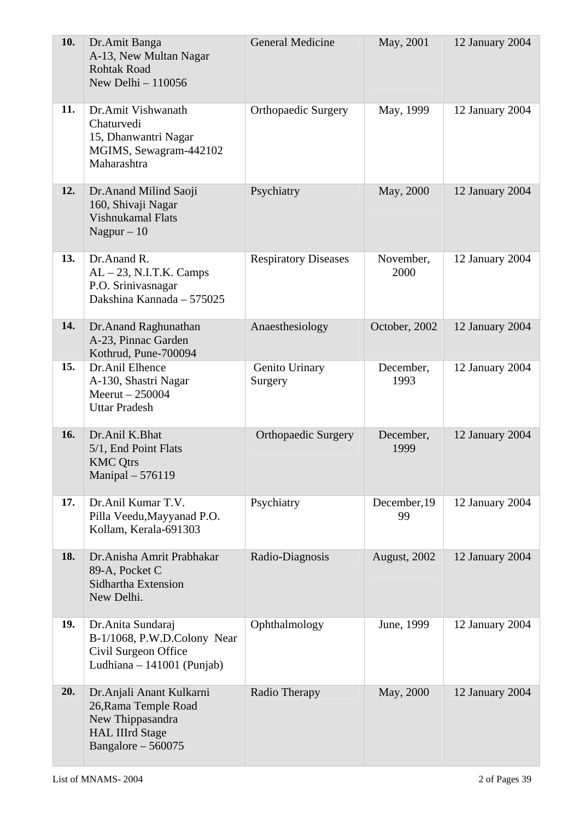| 10. | Dr.Amit Banga<br>A-13, New Multan Nagar<br><b>Rohtak Road</b><br>New Delhi - 110056                                    | <b>General Medicine</b>     | May, 2001          | 12 January 2004 |
|-----|------------------------------------------------------------------------------------------------------------------------|-----------------------------|--------------------|-----------------|
| 11. | Dr.Amit Vishwanath<br>Chaturvedi<br>15, Dhanwantri Nagar<br>MGIMS, Sewagram-442102<br>Maharashtra                      | <b>Orthopaedic Surgery</b>  | May, 1999          | 12 January 2004 |
| 12. | Dr. Anand Milind Saoji<br>160, Shivaji Nagar<br><b>Vishnukamal Flats</b><br>Nagpur $-10$                               | Psychiatry                  | May, 2000          | 12 January 2004 |
| 13. | Dr.Anand R.<br>$AL - 23$ , N.I.T.K. Camps<br>P.O. Srinivasnagar<br>Dakshina Kannada - 575025                           | <b>Respiratory Diseases</b> | November,<br>2000  | 12 January 2004 |
| 14. | Dr.Anand Raghunathan<br>A-23, Pinnac Garden<br>Kothrud, Pune-700094                                                    | Anaesthesiology             | October, 2002      | 12 January 2004 |
| 15. | Dr.Anil Elhence<br>A-130, Shastri Nagar<br>$Meerut - 250004$<br><b>Uttar Pradesh</b>                                   | Genito Urinary<br>Surgery   | December,<br>1993  | 12 January 2004 |
| 16. | Dr.Anil K.Bhat<br>5/1, End Point Flats<br><b>KMC Qtrs</b><br>Manipal - 576119                                          | <b>Orthopaedic Surgery</b>  | December,<br>1999  | 12 January 2004 |
| 17. | Dr.Anil Kumar T.V.<br>Pilla Veedu, Mayyanad P.O.<br>Kollam, Kerala-691303                                              | Psychiatry                  | December, 19<br>99 | 12 January 2004 |
| 18. | Dr.Anisha Amrit Prabhakar<br>89-A, Pocket C<br>Sidhartha Extension<br>New Delhi.                                       | Radio-Diagnosis             | August, 2002       | 12 January 2004 |
| 19. | Dr. Anita Sundaraj<br>B-1/1068, P.W.D.Colony Near<br>Civil Surgeon Office<br>Ludhiana - 141001 (Punjab)                | Ophthalmology               | June, 1999         | 12 January 2004 |
| 20. | Dr. Anjali Anant Kulkarni<br>26, Rama Temple Road<br>New Thippasandra<br><b>HAL IIIrd Stage</b><br>Bangalore $-560075$ | Radio Therapy               | May, 2000          | 12 January 2004 |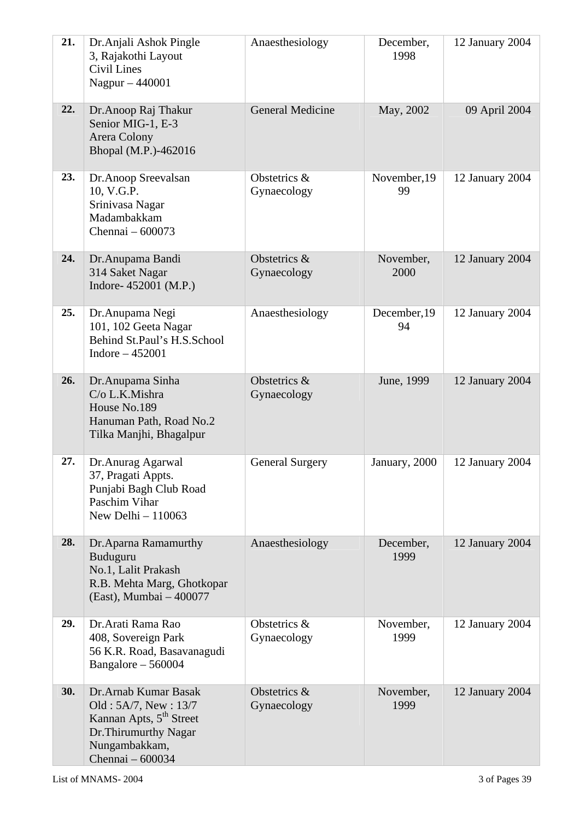| 21. | Dr. Anjali Ashok Pingle<br>3, Rajakothi Layout<br>Civil Lines<br>Nagpur - 440001                                                                   | Anaesthesiology             | December,<br>1998  | 12 January 2004 |
|-----|----------------------------------------------------------------------------------------------------------------------------------------------------|-----------------------------|--------------------|-----------------|
| 22. | Dr. Anoop Raj Thakur<br>Senior MIG-1, E-3<br>Arera Colony<br>Bhopal (M.P.)-462016                                                                  | <b>General Medicine</b>     | May, 2002          | 09 April 2004   |
| 23. | Dr.Anoop Sreevalsan<br>10, V.G.P.<br>Srinivasa Nagar<br>Madambakkam<br>Chennai - 600073                                                            | Obstetrics &<br>Gynaecology | November, 19<br>99 | 12 January 2004 |
| 24. | Dr.Anupama Bandi<br>314 Saket Nagar<br>Indore- 452001 (M.P.)                                                                                       | Obstetrics &<br>Gynaecology | November,<br>2000  | 12 January 2004 |
| 25. | Dr. Anupama Negi<br>101, 102 Geeta Nagar<br>Behind St.Paul's H.S.School<br>Indore $-452001$                                                        | Anaesthesiology             | December, 19<br>94 | 12 January 2004 |
| 26. | Dr.Anupama Sinha<br>C/o L.K.Mishra<br>House No.189<br>Hanuman Path, Road No.2<br>Tilka Manjhi, Bhagalpur                                           | Obstetrics &<br>Gynaecology | June, 1999         | 12 January 2004 |
| 27. | Dr. Anurag Agarwal<br>37, Pragati Appts.<br>Punjabi Bagh Club Road<br>Paschim Vihar<br>New Delhi $-110063$                                         | <b>General Surgery</b>      | January, 2000      | 12 January 2004 |
| 28. | Dr. Aparna Ramamurthy<br>Buduguru<br>No.1, Lalit Prakash<br>R.B. Mehta Marg, Ghotkopar<br>(East), Mumbai - 400077                                  | Anaesthesiology             | December,<br>1999  | 12 January 2004 |
| 29. | Dr. Arati Rama Rao<br>408, Sovereign Park<br>56 K.R. Road, Basavanagudi<br>Bangalore $-560004$                                                     | Obstetrics &<br>Gynaecology | November,<br>1999  | 12 January 2004 |
| 30. | Dr. Arnab Kumar Basak<br>Old: 5A/7, New: 13/7<br>Kannan Apts, 5 <sup>th</sup> Street<br>Dr. Thirumurthy Nagar<br>Nungambakkam,<br>Chennai - 600034 | Obstetrics &<br>Gynaecology | November,<br>1999  | 12 January 2004 |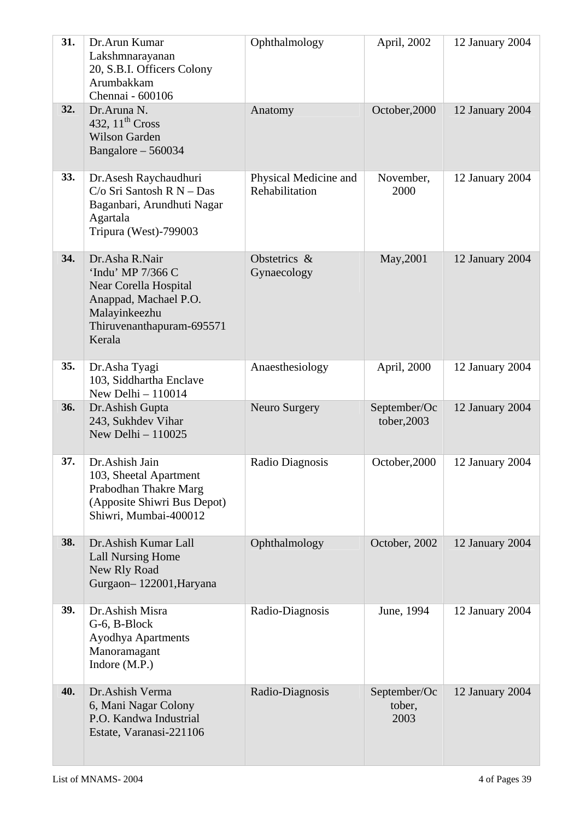| 31. | Dr.Arun Kumar<br>Lakshmnarayanan<br>20, S.B.I. Officers Colony<br>Arumbakkam<br>Chennai - 600106                                              | Ophthalmology                           | April, 2002                    | 12 January 2004 |
|-----|-----------------------------------------------------------------------------------------------------------------------------------------------|-----------------------------------------|--------------------------------|-----------------|
| 32. | Dr.Aruna N.<br>432, $11th Cross$<br><b>Wilson Garden</b><br>Bangalore - 560034                                                                | Anatomy                                 | October, 2000                  | 12 January 2004 |
| 33. | Dr.Asesh Raychaudhuri<br>$C/O$ Sri Santosh R N - Das<br>Baganbari, Arundhuti Nagar<br>Agartala<br>Tripura (West)-799003                       | Physical Medicine and<br>Rehabilitation | November,<br>2000              | 12 January 2004 |
| 34. | Dr.Asha R.Nair<br>'Indu' MP 7/366 C<br>Near Corella Hospital<br>Anappad, Machael P.O.<br>Malayinkeezhu<br>Thiruvenanthapuram-695571<br>Kerala | Obstetrics &<br>Gynaecology             | May, 2001                      | 12 January 2004 |
| 35. | Dr.Asha Tyagi<br>103, Siddhartha Enclave<br>New Delhi $-110014$                                                                               | Anaesthesiology                         | April, 2000                    | 12 January 2004 |
| 36. | Dr.Ashish Gupta<br>243, Sukhdev Vihar<br>New Delhi $-110025$                                                                                  | Neuro Surgery                           | September/Oc<br>tober, 2003    | 12 January 2004 |
| 37. | Dr.Ashish Jain<br>103, Sheetal Apartment<br>Prabodhan Thakre Marg<br>(Apposite Shiwri Bus Depot)<br>Shiwri, Mumbai-400012                     | Radio Diagnosis                         | October, 2000                  | 12 January 2004 |
| 38. | Dr. Ashish Kumar Lall<br><b>Lall Nursing Home</b><br>New Rly Road<br>Gurgaon-122001, Haryana                                                  | Ophthalmology                           | October, 2002                  | 12 January 2004 |
| 39. | Dr.Ashish Misra<br>G-6, B-Block<br><b>Ayodhya Apartments</b><br>Manoramagant<br>Indore $(M.P.)$                                               | Radio-Diagnosis                         | June, 1994                     | 12 January 2004 |
| 40. | Dr.Ashish Verma<br>6, Mani Nagar Colony<br>P.O. Kandwa Industrial<br>Estate, Varanasi-221106                                                  | Radio-Diagnosis                         | September/Oc<br>tober,<br>2003 | 12 January 2004 |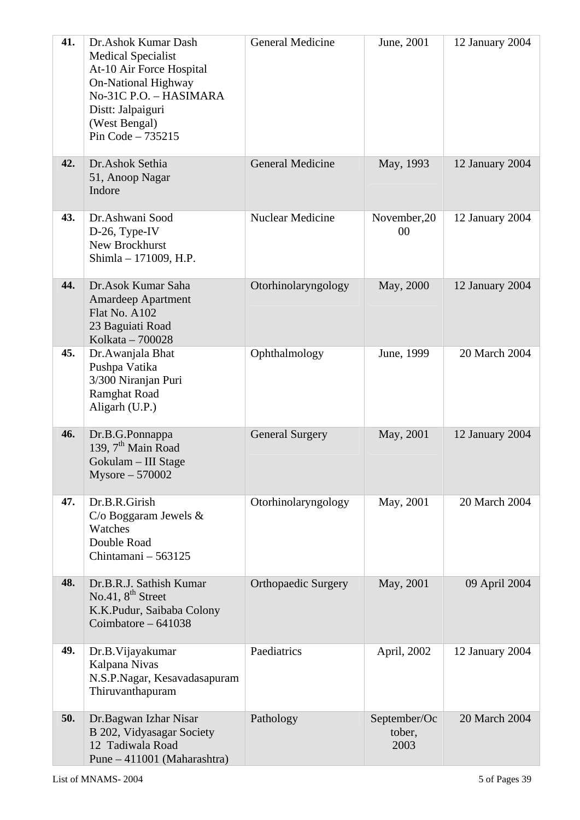| 41. | Dr.Ashok Kumar Dash<br><b>Medical Specialist</b><br>At-10 Air Force Hospital<br><b>On-National Highway</b><br>No-31C P.O. - HASIMARA<br>Distt: Jalpaiguri<br>(West Bengal)<br>Pin Code $-735215$ | <b>General Medicine</b>    | June, 2001                     | 12 January 2004 |
|-----|--------------------------------------------------------------------------------------------------------------------------------------------------------------------------------------------------|----------------------------|--------------------------------|-----------------|
| 42. | Dr.Ashok Sethia<br>51, Anoop Nagar<br>Indore                                                                                                                                                     | <b>General Medicine</b>    | May, 1993                      | 12 January 2004 |
| 43. | Dr.Ashwani Sood<br>D-26, Type-IV<br>New Brockhurst<br>Shimla - 171009, H.P.                                                                                                                      | <b>Nuclear Medicine</b>    | November, 20<br>00             | 12 January 2004 |
| 44. | Dr.Asok Kumar Saha<br><b>Amardeep Apartment</b><br>Flat No. A102<br>23 Baguiati Road<br>Kolkata - 700028                                                                                         | Otorhinolaryngology        | May, 2000                      | 12 January 2004 |
| 45. | Dr.Awanjala Bhat<br>Pushpa Vatika<br>3/300 Niranjan Puri<br>Ramghat Road<br>Aligarh (U.P.)                                                                                                       | Ophthalmology              | June, 1999                     | 20 March 2004   |
| 46. | Dr.B.G.Ponnappa<br>139, $7th$ Main Road<br>Gokulam - III Stage<br>$Mysore - 570002$                                                                                                              | <b>General Surgery</b>     | May, 2001                      | 12 January 2004 |
| 47. | Dr.B.R.Girish<br>$C$ /o Boggaram Jewels $\&$<br>Watches<br>Double Road<br>Chintamani - 563125                                                                                                    | Otorhinolaryngology        | May, 2001                      | 20 March 2004   |
| 48. | Dr.B.R.J. Sathish Kumar<br>No.41, $8th$ Street<br>K.K.Pudur, Saibaba Colony<br>Coimbatore $-641038$                                                                                              | <b>Orthopaedic Surgery</b> | May, 2001                      | 09 April 2004   |
| 49. | Dr.B. Vijayakumar<br>Kalpana Nivas<br>N.S.P.Nagar, Kesavadasapuram<br>Thiruvanthapuram                                                                                                           | Paediatrics                | April, 2002                    | 12 January 2004 |
| 50. | Dr.Bagwan Izhar Nisar<br>B 202, Vidyasagar Society<br>12 Tadiwala Road<br>Pune - 411001 (Maharashtra)                                                                                            | Pathology                  | September/Oc<br>tober,<br>2003 | 20 March 2004   |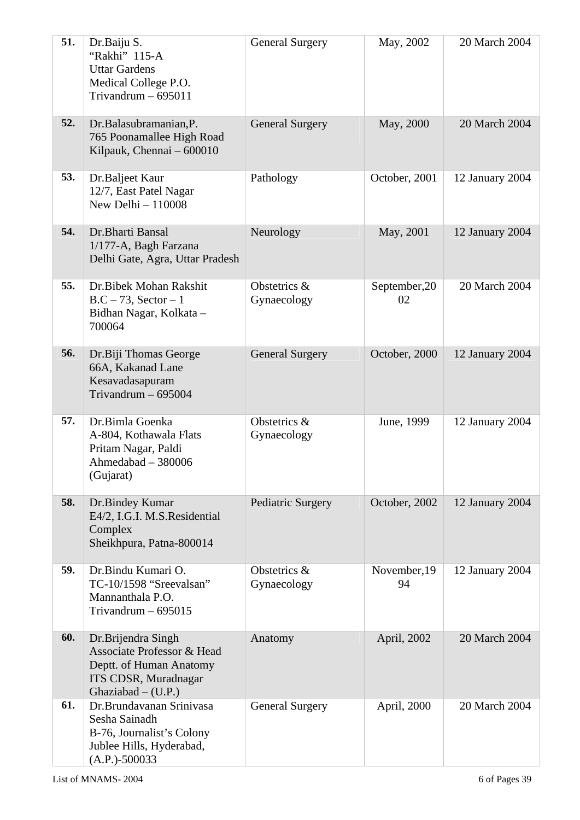| 51. | Dr.Baiju S.<br>"Rakhi" 115-A<br><b>Uttar Gardens</b><br>Medical College P.O.<br>Trivandrum $-695011$                        | <b>General Surgery</b>      | May, 2002           | 20 March 2004   |
|-----|-----------------------------------------------------------------------------------------------------------------------------|-----------------------------|---------------------|-----------------|
| 52. | Dr.Balasubramanian, P.<br>765 Poonamallee High Road<br>Kilpauk, Chennai - 600010                                            | <b>General Surgery</b>      | May, 2000           | 20 March 2004   |
| 53. | Dr.Baljeet Kaur<br>12/7, East Patel Nagar<br>New Delhi $-110008$                                                            | Pathology                   | October, 2001       | 12 January 2004 |
| 54. | Dr.Bharti Bansal<br>1/177-A, Bagh Farzana<br>Delhi Gate, Agra, Uttar Pradesh                                                | Neurology                   | May, 2001           | 12 January 2004 |
| 55. | Dr.Bibek Mohan Rakshit<br>$B.C - 73$ , Sector - 1<br>Bidhan Nagar, Kolkata -<br>700064                                      | Obstetrics &<br>Gynaecology | September, 20<br>02 | 20 March 2004   |
| 56. | Dr.Biji Thomas George<br>66A, Kakanad Lane<br>Kesavadasapuram<br>Trivandrum $-695004$                                       | <b>General Surgery</b>      | October, 2000       | 12 January 2004 |
| 57. | Dr.Bimla Goenka<br>A-804, Kothawala Flats<br>Pritam Nagar, Paldi<br>Ahmedabad - 380006<br>(Gujarat)                         | Obstetrics &<br>Gynaecology | June, 1999          | 12 January 2004 |
| 58. | Dr.Bindey Kumar<br>E4/2, I.G.I. M.S.Residential<br>Complex<br>Sheikhpura, Patna-800014                                      | Pediatric Surgery           | October, 2002       | 12 January 2004 |
| 59. | Dr.Bindu Kumari O.<br>TC-10/1598 "Sreevalsan"<br>Mannanthala P.O.<br>Trivandrum $-695015$                                   | Obstetrics &<br>Gynaecology | November, 19<br>94  | 12 January 2004 |
| 60. | Dr.Brijendra Singh<br>Associate Professor & Head<br>Deptt. of Human Anatomy<br>ITS CDSR, Muradnagar<br>Ghaziabad $-$ (U.P.) | Anatomy                     | April, 2002         | 20 March 2004   |
| 61. | Dr.Brundavanan Srinivasa<br>Sesha Sainadh<br>B-76, Journalist's Colony<br>Jublee Hills, Hyderabad,<br>$(A.P.) - 500033$     | <b>General Surgery</b>      | April, 2000         | 20 March 2004   |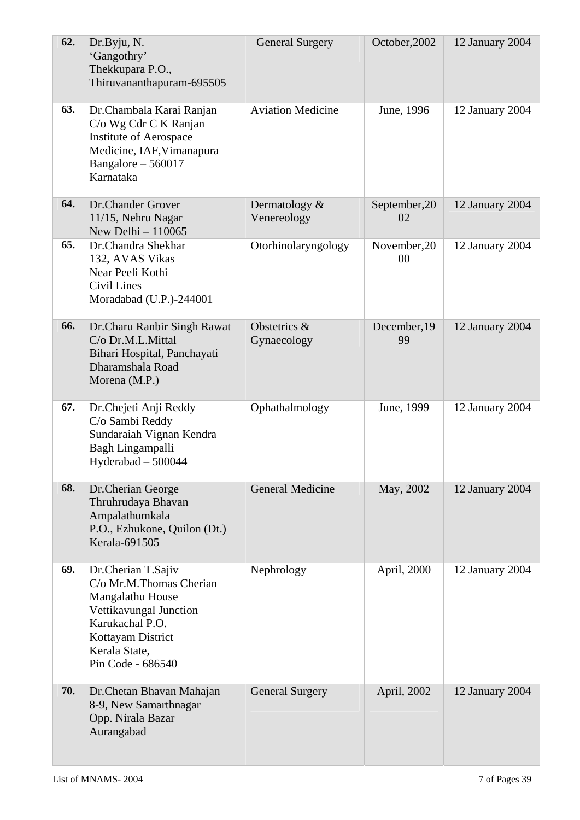| 62. | Dr.Byju, N.<br>'Gangothry'<br>Thekkupara P.O.,<br>Thiruvananthapuram-695505                                                                                               | <b>General Surgery</b>         | October, 2002       | 12 January 2004 |
|-----|---------------------------------------------------------------------------------------------------------------------------------------------------------------------------|--------------------------------|---------------------|-----------------|
| 63. | Dr.Chambala Karai Ranjan<br>C/o Wg Cdr C K Ranjan<br><b>Institute of Aerospace</b><br>Medicine, IAF, Vimanapura<br>Bangalore $-560017$<br>Karnataka                       | <b>Aviation Medicine</b>       | June, 1996          | 12 January 2004 |
| 64. | Dr.Chander Grover<br>11/15, Nehru Nagar<br>New Delhi $-110065$                                                                                                            | Dermatology $&$<br>Venereology | September, 20<br>02 | 12 January 2004 |
| 65. | Dr.Chandra Shekhar<br>132, AVAS Vikas<br>Near Peeli Kothi<br>Civil Lines<br>Moradabad (U.P.)-244001                                                                       | Otorhinolaryngology            | November, 20<br>00  | 12 January 2004 |
| 66. | Dr.Charu Ranbir Singh Rawat<br>C/o Dr.M.L.Mittal<br>Bihari Hospital, Panchayati<br>Dharamshala Road<br>Morena (M.P.)                                                      | Obstetrics &<br>Gynaecology    | December, 19<br>99  | 12 January 2004 |
| 67. | Dr.Chejeti Anji Reddy<br>C/o Sambi Reddy<br>Sundaraiah Vignan Kendra<br>Bagh Lingampalli<br>Hyderabad - 500044                                                            | Ophathalmology                 | June, 1999          | 12 January 2004 |
| 68. | Dr.Cherian George<br>Thruhrudaya Bhavan<br>Ampalathumkala<br>P.O., Ezhukone, Quilon (Dt.)<br>Kerala-691505                                                                | <b>General Medicine</b>        | May, 2002           | 12 January 2004 |
| 69. | Dr.Cherian T.Sajiv<br>C/o Mr.M.Thomas Cherian<br>Mangalathu House<br>Vettikavungal Junction<br>Karukachal P.O.<br>Kottayam District<br>Kerala State,<br>Pin Code - 686540 | Nephrology                     | April, 2000         | 12 January 2004 |
| 70. | Dr. Chetan Bhavan Mahajan<br>8-9, New Samarthnagar<br>Opp. Nirala Bazar<br>Aurangabad                                                                                     | <b>General Surgery</b>         | April, 2002         | 12 January 2004 |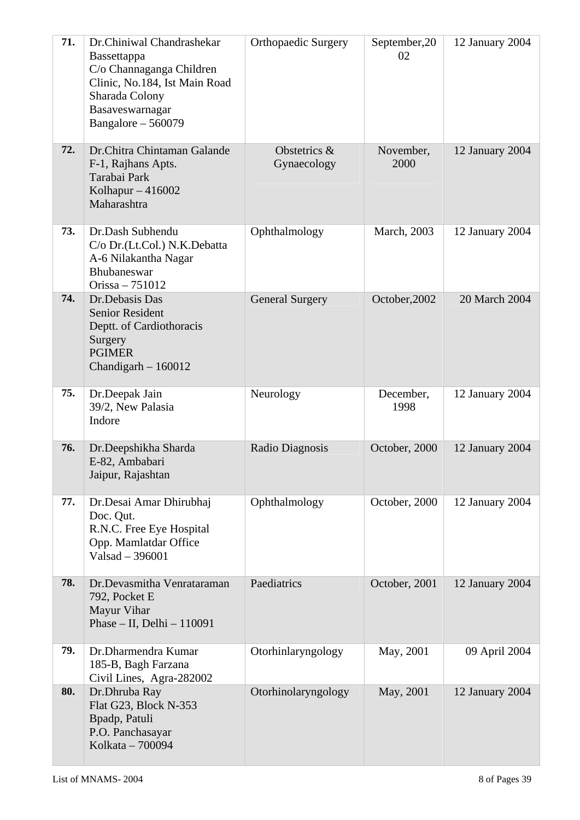| 71. | Dr.Chiniwal Chandrashekar<br><b>Bassettappa</b><br>C/o Channaganga Children<br>Clinic, No.184, Ist Main Road<br>Sharada Colony<br>Basaveswarnagar<br>Bangalore $-560079$ | <b>Orthopaedic Surgery</b>  | September, 20<br>02 | 12 January 2004 |
|-----|--------------------------------------------------------------------------------------------------------------------------------------------------------------------------|-----------------------------|---------------------|-----------------|
| 72. | Dr.Chitra Chintaman Galande<br>F-1, Rajhans Apts.<br>Tarabai Park<br>Kolhapur $-416002$<br>Maharashtra                                                                   | Obstetrics &<br>Gynaecology | November,<br>2000   | 12 January 2004 |
| 73. | Dr.Dash Subhendu<br>C/o Dr.(Lt.Col.) N.K.Debatta<br>A-6 Nilakantha Nagar<br>Bhubaneswar<br>Orissa $-751012$                                                              | Ophthalmology               | <b>March</b> , 2003 | 12 January 2004 |
| 74. | Dr.Debasis Das<br><b>Senior Resident</b><br>Deptt. of Cardiothoracis<br>Surgery<br><b>PGIMER</b><br>Chandigarh $-160012$                                                 | <b>General Surgery</b>      | October, 2002       | 20 March 2004   |
| 75. | Dr.Deepak Jain<br>39/2, New Palasia<br>Indore                                                                                                                            | Neurology                   | December,<br>1998   | 12 January 2004 |
| 76. | Dr.Deepshikha Sharda<br>E-82, Ambabari<br>Jaipur, Rajashtan                                                                                                              | Radio Diagnosis             | October, 2000       | 12 January 2004 |
| 77. | Dr.Desai Amar Dhirubhaj<br>Doc. Qut.<br>R.N.C. Free Eye Hospital<br>Opp. Mamlatdar Office<br>Valsad - 396001                                                             | Ophthalmology               | October, 2000       | 12 January 2004 |
| 78. | Dr.Devasmitha Venrataraman<br>792, Pocket E<br>Mayur Vihar<br>Phase $-$ II, Delhi $-110091$                                                                              | Paediatrics                 | October, 2001       | 12 January 2004 |
| 79. | Dr.Dharmendra Kumar<br>185-B, Bagh Farzana<br>Civil Lines, Agra-282002                                                                                                   | Otorhinlaryngology          | May, 2001           | 09 April 2004   |
| 80. | Dr.Dhruba Ray<br>Flat G23, Block N-353<br>Bpadp, Patuli<br>P.O. Panchasayar<br>Kolkata - 700094                                                                          | Otorhinolaryngology         | May, 2001           | 12 January 2004 |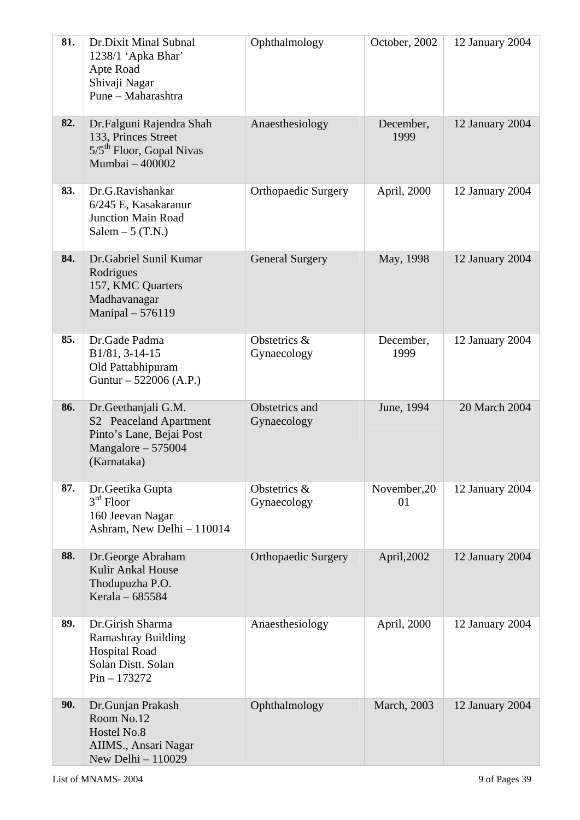| 81. | Dr.Dixit Minal Subnal<br>1238/1 'Apka Bhar'<br>Apte Road<br>Shivaji Nagar<br>Pune - Maharashtra                 | Ophthalmology                 | October, 2002       | 12 January 2004 |
|-----|-----------------------------------------------------------------------------------------------------------------|-------------------------------|---------------------|-----------------|
| 82. | Dr.Falguni Rajendra Shah<br>133, Princes Street<br>5/5 <sup>th</sup> Floor, Gopal Nivas<br>Mumbai - 400002      | Anaesthesiology               | December,<br>1999   | 12 January 2004 |
| 83. | Dr.G.Ravishankar<br>6/245 E, Kasakaranur<br><b>Junction Main Road</b><br>Salem $-5$ (T.N.)                      | <b>Orthopaedic Surgery</b>    | April, 2000         | 12 January 2004 |
| 84. | Dr.Gabriel Sunil Kumar<br>Rodrigues<br>157, KMC Quarters<br>Madhavanagar<br>Manipal - 576119                    | <b>General Surgery</b>        | May, 1998           | 12 January 2004 |
| 85. | Dr.Gade Padma<br>B1/81, 3-14-15<br>Old Pattabhipuram<br>Guntur – 522006 (A.P.)                                  | Obstetrics &<br>Gynaecology   | December,<br>1999   | 12 January 2004 |
| 86. | Dr.Geethanjali G.M.<br>S2 Peaceland Apartment<br>Pinto's Lane, Bejai Post<br>Mangalore $-575004$<br>(Karnataka) | Obstetrics and<br>Gynaecology | June, 1994          | 20 March 2004   |
| 87. | Dr.Geetika Gupta<br>$3rd$ Floor<br>160 Jeevan Nagar<br>Ashram, New Delhi - 110014                               | Obstetrics &<br>Gynaecology   | November, 20<br>01  | 12 January 2004 |
| 88. | Dr.George Abraham<br>Kulir Ankal House<br>Thodupuzha P.O.<br>Kerala - 685584                                    | <b>Orthopaedic Surgery</b>    | April, 2002         | 12 January 2004 |
| 89. | Dr.Girish Sharma<br><b>Ramashray Building</b><br><b>Hospital Road</b><br>Solan Distt. Solan<br>$Pin - 173272$   | Anaesthesiology               | April, 2000         | 12 January 2004 |
| 90. | Dr.Gunjan Prakash<br>Room No.12<br>Hostel No.8<br>AIIMS., Ansari Nagar<br>New Delhi - 110029                    | Ophthalmology                 | <b>March</b> , 2003 | 12 January 2004 |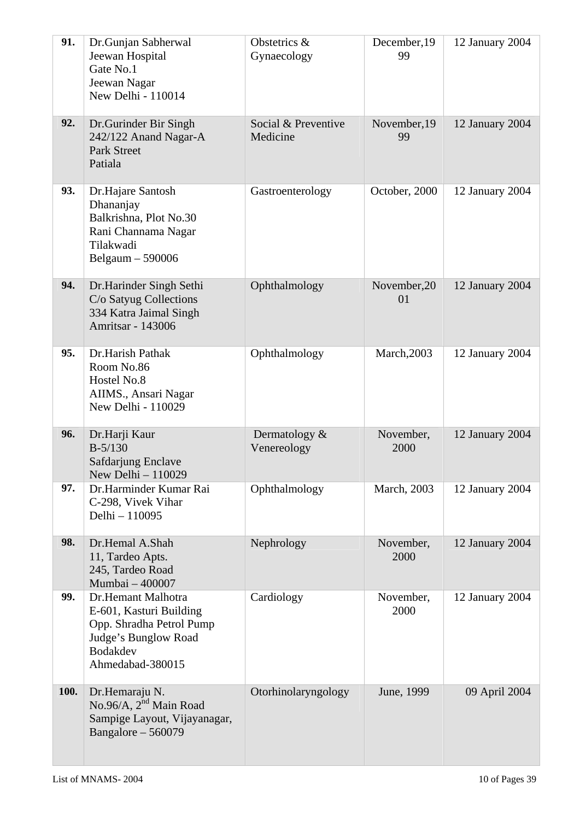| 91.  | Dr.Gunjan Sabherwal<br>Jeewan Hospital<br>Gate No.1<br>Jeewan Nagar<br>New Delhi - 110014                                                | Obstetrics &<br>Gynaecology     | December, 19<br>99 | 12 January 2004 |
|------|------------------------------------------------------------------------------------------------------------------------------------------|---------------------------------|--------------------|-----------------|
| 92.  | Dr. Gurinder Bir Singh<br>242/122 Anand Nagar-A<br><b>Park Street</b><br>Patiala                                                         | Social & Preventive<br>Medicine | November, 19<br>99 | 12 January 2004 |
| 93.  | Dr.Hajare Santosh<br>Dhananjay<br>Balkrishna, Plot No.30<br>Rani Channama Nagar<br>Tilakwadi<br>Belgaum $-590006$                        | Gastroenterology                | October, 2000      | 12 January 2004 |
| 94.  | Dr.Harinder Singh Sethi<br>C/o Satyug Collections<br>334 Katra Jaimal Singh<br><b>Amritsar - 143006</b>                                  | Ophthalmology                   | November, 20<br>01 | 12 January 2004 |
| 95.  | Dr.Harish Pathak<br>Room No.86<br>Hostel No.8<br>AIIMS., Ansari Nagar<br>New Delhi - 110029                                              | Ophthalmology                   | <b>March, 2003</b> | 12 January 2004 |
| 96.  | Dr.Harji Kaur<br>$B - 5/130$<br>Safdarjung Enclave<br>New Delhi - 110029                                                                 | Dermatology $&$<br>Venereology  | November,<br>2000  | 12 January 2004 |
| 97.  | Dr.Harminder Kumar Rai<br>C-298, Vivek Vihar<br>Delhi - 110095                                                                           | Ophthalmology                   | March, 2003        | 12 January 2004 |
| 98.  | Dr.Hemal A.Shah<br>11, Tardeo Apts.<br>245, Tardeo Road<br>Mumbai - 400007                                                               | Nephrology                      | November,<br>2000  | 12 January 2004 |
| 99.  | Dr.Hemant Malhotra<br>E-601, Kasturi Building<br>Opp. Shradha Petrol Pump<br>Judge's Bunglow Road<br><b>Bodakdev</b><br>Ahmedabad-380015 | Cardiology                      | November,<br>2000  | 12 January 2004 |
| 100. | Dr.Hemaraju N.<br>No.96/A, 2 <sup>nd</sup> Main Road<br>Sampige Layout, Vijayanagar,<br>Bangalore - 560079                               | Otorhinolaryngology             | June, 1999         | 09 April 2004   |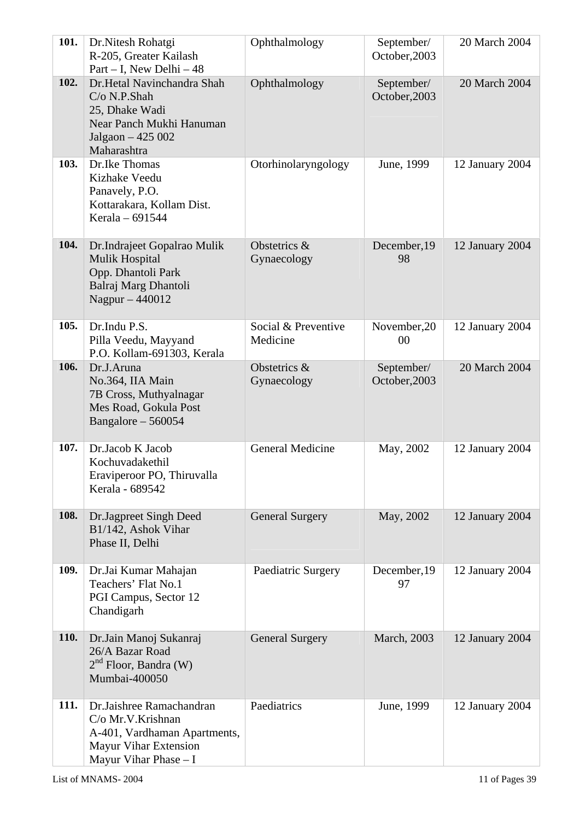| 101.        | Dr.Nitesh Rohatgi<br>R-205, Greater Kailash<br>Part – I, New Delhi – $48$                                                        | Ophthalmology                   | September/<br>October, 2003 | 20 March 2004   |
|-------------|----------------------------------------------------------------------------------------------------------------------------------|---------------------------------|-----------------------------|-----------------|
| 102.        | Dr.Hetal Navinchandra Shah<br>$C/O$ N.P.Shah<br>25, Dhake Wadi<br>Near Panch Mukhi Hanuman<br>Jalgaon - 425 002<br>Maharashtra   | Ophthalmology                   | September/<br>October, 2003 | 20 March 2004   |
| 103.        | Dr.Ike Thomas<br>Kizhake Veedu<br>Panavely, P.O.<br>Kottarakara, Kollam Dist.<br>Kerala - 691544                                 | Otorhinolaryngology             | June, 1999                  | 12 January 2004 |
| 104.        | Dr.Indrajeet Gopalrao Mulik<br><b>Mulik Hospital</b><br>Opp. Dhantoli Park<br>Balraj Marg Dhantoli<br>Nagpur - 440012            | Obstetrics &<br>Gynaecology     | December, 19<br>98          | 12 January 2004 |
| 105.        | Dr.Indu P.S.<br>Pilla Veedu, Mayyand<br>P.O. Kollam-691303, Kerala                                                               | Social & Preventive<br>Medicine | November, 20<br>00          | 12 January 2004 |
| 106.        | Dr.J.Aruna<br>No.364, IIA Main<br>7B Cross, Muthyalnagar<br>Mes Road, Gokula Post<br>Bangalore $-560054$                         | Obstetrics &<br>Gynaecology     | September/<br>October, 2003 | 20 March 2004   |
| 107.        | Dr.Jacob K Jacob<br>Kochuvadakethil<br>Eraviperoor PO, Thiruvalla<br>Kerala - 689542                                             | <b>General Medicine</b>         | May, 2002                   | 12 January 2004 |
| 108.        | Dr.Jagpreet Singh Deed<br>B1/142, Ashok Vihar<br>Phase II, Delhi                                                                 | <b>General Surgery</b>          | May, 2002                   | 12 January 2004 |
| 109.        | Dr.Jai Kumar Mahajan<br>Teachers' Flat No.1<br>PGI Campus, Sector 12<br>Chandigarh                                               | Paediatric Surgery              | December, 19<br>97          | 12 January 2004 |
| <b>110.</b> | Dr.Jain Manoj Sukanraj<br>26/A Bazar Road<br>$2nd$ Floor, Bandra (W)<br>Mumbai-400050                                            | <b>General Surgery</b>          | <b>March</b> , 2003         | 12 January 2004 |
| 111.        | Dr.Jaishree Ramachandran<br>C/o Mr.V.Krishnan<br>A-401, Vardhaman Apartments,<br>Mayur Vihar Extension<br>Mayur Vihar Phase $-I$ | Paediatrics                     | June, 1999                  | 12 January 2004 |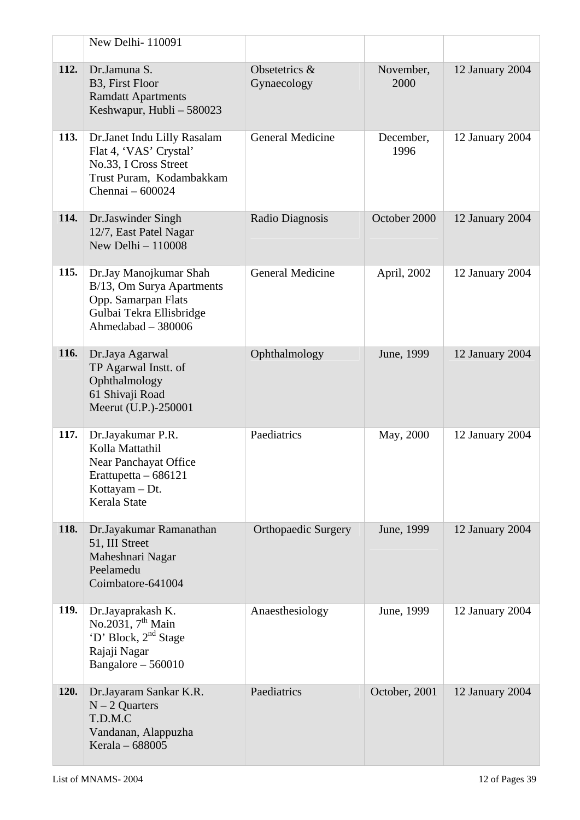|             | New Delhi-110091                                                                                                               |                              |                   |                 |
|-------------|--------------------------------------------------------------------------------------------------------------------------------|------------------------------|-------------------|-----------------|
| 112.        | Dr.Jamuna S.<br>B3, First Floor<br><b>Ramdatt Apartments</b><br>Keshwapur, Hubli - 580023                                      | Obsetetrics &<br>Gynaecology | November,<br>2000 | 12 January 2004 |
| 113.        | Dr.Janet Indu Lilly Rasalam<br>Flat 4, 'VAS' Crystal'<br>No.33, I Cross Street<br>Trust Puram, Kodambakkam<br>Chennai - 600024 | <b>General Medicine</b>      | December,<br>1996 | 12 January 2004 |
| 114.        | Dr.Jaswinder Singh<br>12/7, East Patel Nagar<br>New Delhi $-110008$                                                            | Radio Diagnosis              | October 2000      | 12 January 2004 |
| 115.        | Dr.Jay Manojkumar Shah<br>B/13, Om Surya Apartments<br>Opp. Samarpan Flats<br>Gulbai Tekra Ellisbridge<br>Ahmedabad - 380006   | <b>General Medicine</b>      | April, 2002       | 12 January 2004 |
| 116.        | Dr.Jaya Agarwal<br>TP Agarwal Instt. of<br>Ophthalmology<br>61 Shivaji Road<br>Meerut (U.P.)-250001                            | Ophthalmology                | June, 1999        | 12 January 2004 |
| 117.        | Dr.Jayakumar P.R.<br>Kolla Mattathil<br>Near Panchayat Office<br>Erattupetta $-686121$<br>Kottayam - Dt.<br>Kerala State       | Paediatrics                  | May, 2000         | 12 January 2004 |
| 118.        | Dr.Jayakumar Ramanathan<br>51, III Street<br>Maheshnari Nagar<br>Peelamedu<br>Coimbatore-641004                                | <b>Orthopaedic Surgery</b>   | June, 1999        | 12 January 2004 |
| 119.        | Dr.Jayaprakash K.<br>No.2031, $7th$ Main<br>'D' Block, 2 <sup>nd</sup> Stage<br>Rajaji Nagar<br>Bangalore $-560010$            | Anaesthesiology              | June, 1999        | 12 January 2004 |
| <b>120.</b> | Dr.Jayaram Sankar K.R.<br>$N - 2$ Quarters<br>T.D.M.C<br>Vandanan, Alappuzha<br>Kerala - 688005                                | Paediatrics                  | October, 2001     | 12 January 2004 |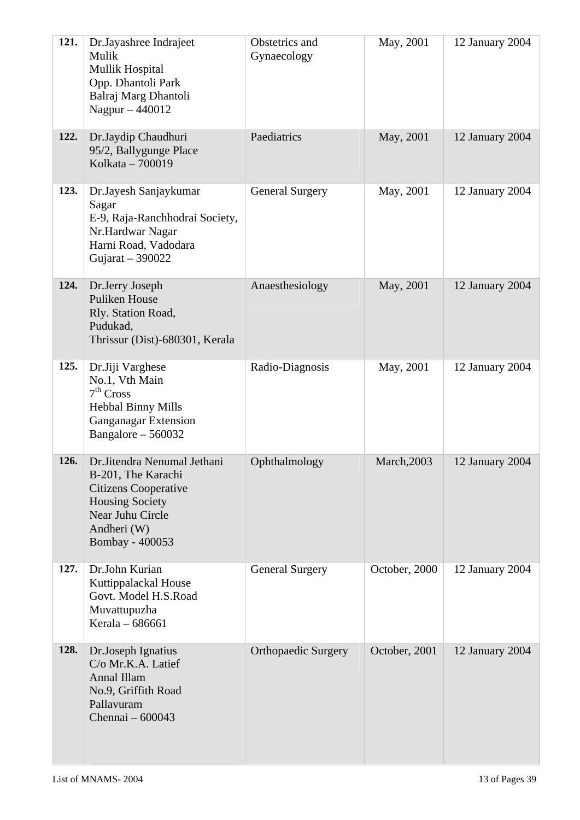| 121. | Dr.Jayashree Indrajeet<br>Mulik<br><b>Mullik Hospital</b><br>Opp. Dhantoli Park<br>Balraj Marg Dhantoli<br>Nagpur - 440012                                       | Obstetrics and<br>Gynaecology | May, 2001          | 12 January 2004 |
|------|------------------------------------------------------------------------------------------------------------------------------------------------------------------|-------------------------------|--------------------|-----------------|
| 122. | Dr.Jaydip Chaudhuri<br>95/2, Ballygunge Place<br>Kolkata - 700019                                                                                                | Paediatrics                   | May, 2001          | 12 January 2004 |
| 123. | Dr.Jayesh Sanjaykumar<br>Sagar<br>E-9, Raja-Ranchhodrai Society,<br>Nr.Hardwar Nagar<br>Harni Road, Vadodara<br>Gujarat $-390022$                                | <b>General Surgery</b>        | May, 2001          | 12 January 2004 |
| 124. | Dr.Jerry Joseph<br><b>Puliken House</b><br>Rly. Station Road,<br>Pudukad,<br>Thrissur (Dist)-680301, Kerala                                                      | Anaesthesiology               | May, 2001          | 12 January 2004 |
| 125. | Dr.Jiji Varghese<br>No.1, Vth Main<br>7 <sup>th</sup> Cross<br><b>Hebbal Binny Mills</b><br><b>Ganganagar Extension</b><br>Bangalore $-560032$                   | Radio-Diagnosis               | May, 2001          | 12 January 2004 |
| 126. | Dr.Jitendra Nenumal Jethani<br>B-201, The Karachi<br><b>Citizens Cooperative</b><br><b>Housing Society</b><br>Near Juhu Circle<br>Andheri (W)<br>Bombay - 400053 | Ophthalmology                 | <b>March, 2003</b> | 12 January 2004 |
| 127. | Dr.John Kurian<br>Kuttippalackal House<br>Govt. Model H.S.Road<br>Muvattupuzha<br>Kerala - 686661                                                                | <b>General Surgery</b>        | October, 2000      | 12 January 2004 |
| 128. | Dr.Joseph Ignatius<br>C/o Mr.K.A. Latief<br>Annal Illam<br>No.9, Griffith Road<br>Pallavuram<br>Chennai - 600043                                                 | <b>Orthopaedic Surgery</b>    | October, 2001      | 12 January 2004 |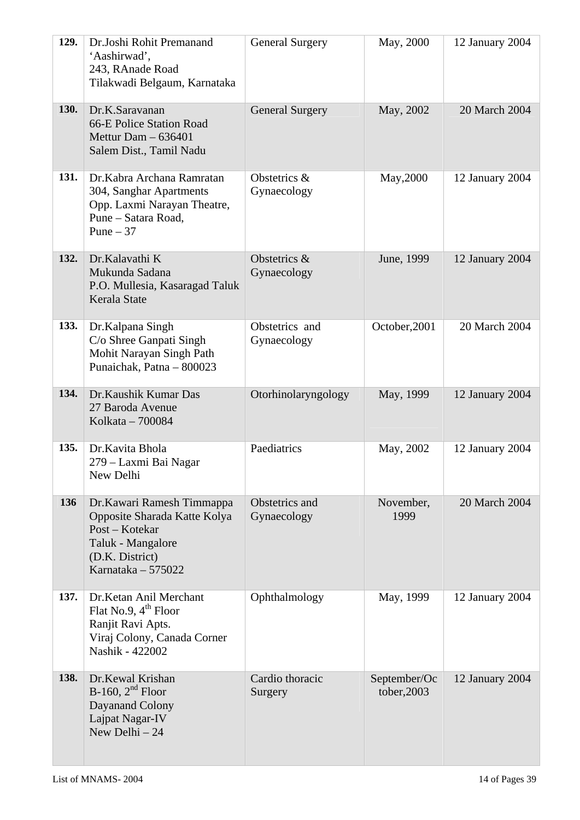| 129.        | Dr.Joshi Rohit Premanand<br>'Aashirwad',<br>243, RAnade Road<br>Tilakwadi Belgaum, Karnataka                                               | <b>General Surgery</b>        | May, 2000                   | 12 January 2004 |
|-------------|--------------------------------------------------------------------------------------------------------------------------------------------|-------------------------------|-----------------------------|-----------------|
| <b>130.</b> | Dr.K.Saravanan<br>66-E Police Station Road<br>Mettur Dam $-636401$<br>Salem Dist., Tamil Nadu                                              | <b>General Surgery</b>        | May, 2002                   | 20 March 2004   |
| 131.        | Dr.Kabra Archana Ramratan<br>304, Sanghar Apartments<br>Opp. Laxmi Narayan Theatre,<br>Pune – Satara Road,<br>Pune $-37$                   | Obstetrics &<br>Gynaecology   | May, 2000                   | 12 January 2004 |
| 132.        | Dr.Kalavathi K<br>Mukunda Sadana<br>P.O. Mullesia, Kasaragad Taluk<br>Kerala State                                                         | Obstetrics &<br>Gynaecology   | June, 1999                  | 12 January 2004 |
| 133.        | Dr.Kalpana Singh<br>C/o Shree Ganpati Singh<br>Mohit Narayan Singh Path<br>Punaichak, Patna - 800023                                       | Obstetrics and<br>Gynaecology | October, 2001               | 20 March 2004   |
| 134.        | Dr.Kaushik Kumar Das<br>27 Baroda Avenue<br>Kolkata - 700084                                                                               | Otorhinolaryngology           | May, 1999                   | 12 January 2004 |
| 135.        | Dr.Kavita Bhola<br>279 – Laxmi Bai Nagar<br>New Delhi                                                                                      | Paediatrics                   | May, 2002                   | 12 January 2004 |
| 136         | Dr. Kawari Ramesh Timmappa<br>Opposite Sharada Katte Kolya<br>Post – Kotekar<br>Taluk - Mangalore<br>(D.K. District)<br>Karnataka - 575022 | Obstetrics and<br>Gynaecology | November,<br>1999           | 20 March 2004   |
| 137.        | Dr.Ketan Anil Merchant<br>Flat No.9, $4^{\text{th}}$ Floor<br>Ranjit Ravi Apts.<br>Viraj Colony, Canada Corner<br>Nashik - 422002          | Ophthalmology                 | May, 1999                   | 12 January 2004 |
| 138.        | Dr.Kewal Krishan<br>B-160, $2nd$ Floor<br>Dayanand Colony<br>Lajpat Nagar-IV<br>New Delhi $-24$                                            | Cardio thoracic<br>Surgery    | September/Oc<br>tober, 2003 | 12 January 2004 |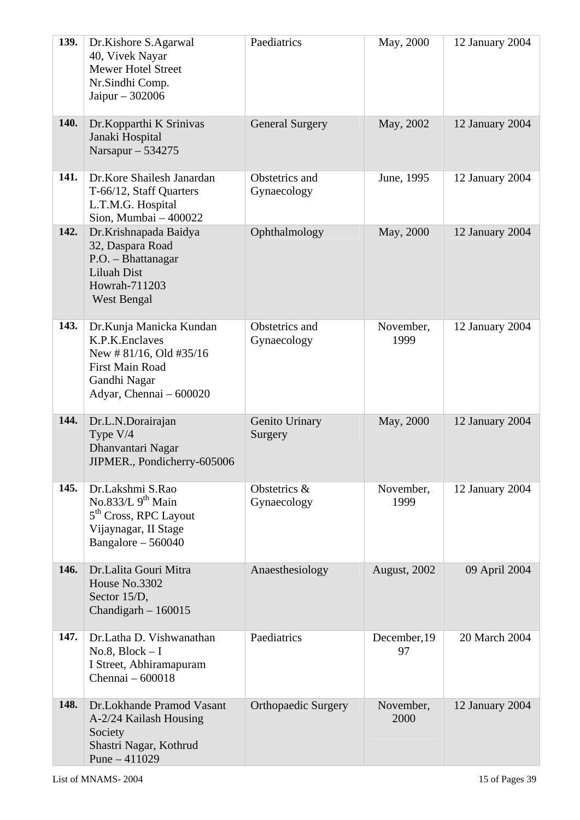| 139.        | Dr.Kishore S.Agarwal<br>40, Vivek Nayar<br><b>Mewer Hotel Street</b><br>Nr.Sindhi Comp.<br>Jaipur $-302006$                                  | Paediatrics                   | May, 2000          | 12 January 2004 |
|-------------|----------------------------------------------------------------------------------------------------------------------------------------------|-------------------------------|--------------------|-----------------|
| <b>140.</b> | Dr.Kopparthi K Srinivas<br>Janaki Hospital<br>Narsapur $-534275$                                                                             | <b>General Surgery</b>        | May, 2002          | 12 January 2004 |
| 141.        | Dr.Kore Shailesh Janardan<br>T-66/12, Staff Quarters<br>L.T.M.G. Hospital<br>Sion, Mumbai $-400022$                                          | Obstetrics and<br>Gynaecology | June, 1995         | 12 January 2004 |
| 142.        | Dr.Krishnapada Baidya<br>32, Daspara Road<br>P.O. - Bhattanagar<br>Liluah Dist<br>Howrah-711203<br><b>West Bengal</b>                        | Ophthalmology                 | May, 2000          | 12 January 2004 |
| 143.        | Dr.Kunja Manicka Kundan<br>K.P.K.Enclaves<br>New # $81/16$ , Old #35/16<br><b>First Main Road</b><br>Gandhi Nagar<br>Adyar, Chennai - 600020 | Obstetrics and<br>Gynaecology | November,<br>1999  | 12 January 2004 |
| 144.        | Dr.L.N.Dorairajan<br>Type V/4<br>Dhanvantari Nagar<br>JIPMER., Pondicherry-605006                                                            | Genito Urinary<br>Surgery     | May, 2000          | 12 January 2004 |
| 145.        | Dr.Lakshmi S.Rao<br>No.833/L $9th$ Main<br>5 <sup>th</sup> Cross, RPC Layout<br>Vijaynagar, II Stage<br>Bangalore $-560040$                  | Obstetrics &<br>Gynaecology   | November,<br>1999  | 12 January 2004 |
| 146.        | Dr.Lalita Gouri Mitra<br>House No.3302<br>Sector 15/D,<br>Chandigarh $-160015$                                                               | Anaesthesiology               | August, 2002       | 09 April 2004   |
| 147.        | Dr.Latha D. Vishwanathan<br>$No.8, Block-I$<br>I Street, Abhiramapuram<br>Chennai - 600018                                                   | Paediatrics                   | December, 19<br>97 | 20 March 2004   |
| 148.        | Dr.Lokhande Pramod Vasant<br>A-2/24 Kailash Housing<br>Society<br>Shastri Nagar, Kothrud<br>Pune $-411029$                                   | <b>Orthopaedic Surgery</b>    | November,<br>2000  | 12 January 2004 |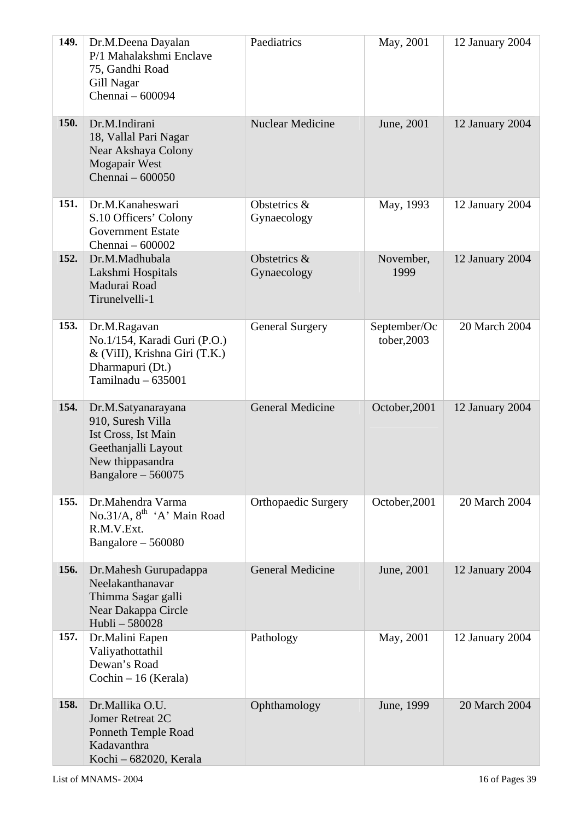| 149.        | Dr.M.Deena Dayalan<br>P/1 Mahalakshmi Enclave<br>75, Gandhi Road<br>Gill Nagar<br>Chennai - 600094                               | Paediatrics                 | May, 2001                   | 12 January 2004 |
|-------------|----------------------------------------------------------------------------------------------------------------------------------|-----------------------------|-----------------------------|-----------------|
| <b>150.</b> | Dr.M.Indirani<br>18, Vallal Pari Nagar<br>Near Akshaya Colony<br>Mogapair West<br>Chennai - 600050                               | <b>Nuclear Medicine</b>     | June, 2001                  | 12 January 2004 |
| 151.        | Dr.M.Kanaheswari<br>S.10 Officers' Colony<br><b>Government Estate</b><br>Chennai - 600002                                        | Obstetrics &<br>Gynaecology | May, 1993                   | 12 January 2004 |
| 152.        | Dr.M.Madhubala<br>Lakshmi Hospitals<br>Madurai Road<br>Tirunelvelli-1                                                            | Obstetrics &<br>Gynaecology | November,<br>1999           | 12 January 2004 |
| 153.        | Dr.M.Ragavan<br>No.1/154, Karadi Guri (P.O.)<br>& (ViII), Krishna Giri (T.K.)<br>Dharmapuri (Dt.)<br>Tamilnadu $-635001$         | <b>General Surgery</b>      | September/Oc<br>tober, 2003 | 20 March 2004   |
| 154.        | Dr.M.Satyanarayana<br>910, Suresh Villa<br>Ist Cross, Ist Main<br>Geethanjalli Layout<br>New thippasandra<br>Bangalore $-560075$ | <b>General Medicine</b>     | October, 2001               | 12 January 2004 |
| 155.        | Dr.Mahendra Varma<br>No.31/A, $8^{th}$ 'A' Main Road<br>R.M.V.Ext.<br>Bangalore $-560080$                                        | <b>Orthopaedic Surgery</b>  | October, 2001               | 20 March 2004   |
| 156.        | Dr.Mahesh Gurupadappa<br>Neelakanthanavar<br>Thimma Sagar galli<br>Near Dakappa Circle<br>Hubli - 580028                         | <b>General Medicine</b>     | June, 2001                  | 12 January 2004 |
| 157.        | Dr.Malini Eapen<br>Valiyathottathil<br>Dewan's Road<br>$Cochin - 16$ (Kerala)                                                    | Pathology                   | May, 2001                   | 12 January 2004 |
| 158.        | Dr.Mallika O.U.<br>Jomer Retreat 2C<br>Ponneth Temple Road<br>Kadavanthra<br>Kochi - 682020, Kerala                              | Ophthamology                | June, 1999                  | 20 March 2004   |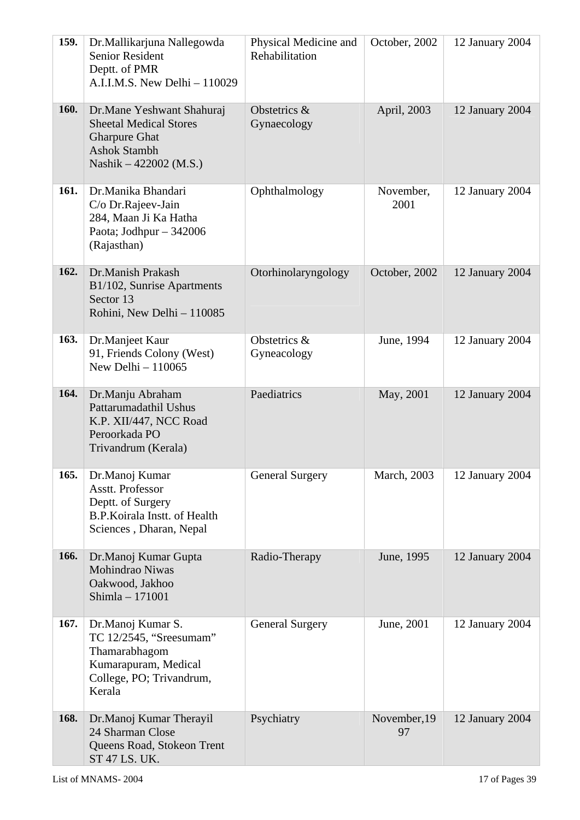| 159.        | Dr.Mallikarjuna Nallegowda<br><b>Senior Resident</b><br>Deptt. of PMR<br>A.I.I.M.S. New Delhi - 110029                              | Physical Medicine and<br>Rehabilitation | October, 2002      | 12 January 2004 |
|-------------|-------------------------------------------------------------------------------------------------------------------------------------|-----------------------------------------|--------------------|-----------------|
| <b>160.</b> | Dr.Mane Yeshwant Shahuraj<br><b>Sheetal Medical Stores</b><br><b>Gharpure Ghat</b><br><b>Ashok Stambh</b><br>Nashik – 422002 (M.S.) | Obstetrics &<br>Gynaecology             | April, 2003        | 12 January 2004 |
| 161.        | Dr.Manika Bhandari<br>C/o Dr.Rajeev-Jain<br>284, Maan Ji Ka Hatha<br>Paota; Jodhpur $-342006$<br>(Rajasthan)                        | Ophthalmology                           | November,<br>2001  | 12 January 2004 |
| 162.        | Dr.Manish Prakash<br>B1/102, Sunrise Apartments<br>Sector 13<br>Rohini, New Delhi - 110085                                          | Otorhinolaryngology                     | October, 2002      | 12 January 2004 |
| 163.        | Dr.Manjeet Kaur<br>91, Friends Colony (West)<br>New Delhi $-110065$                                                                 | Obstetrics &<br>Gyneacology             | June, 1994         | 12 January 2004 |
| 164.        | Dr.Manju Abraham<br>Pattarumadathil Ushus<br>K.P. XII/447, NCC Road<br>Peroorkada PO<br>Trivandrum (Kerala)                         | Paediatrics                             | May, 2001          | 12 January 2004 |
| 165.        | Dr.Manoj Kumar<br>Asstt. Professor<br>Deptt. of Surgery<br>B.P.Koirala Instt. of Health<br>Sciences, Dharan, Nepal                  | <b>General Surgery</b>                  | March, 2003        | 12 January 2004 |
| 166.        | Dr.Manoj Kumar Gupta<br>Mohindrao Niwas<br>Oakwood, Jakhoo<br>Shimla - 171001                                                       | Radio-Therapy                           | June, 1995         | 12 January 2004 |
| 167.        | Dr.Manoj Kumar S.<br>TC 12/2545, "Sreesumam"<br>Thamarabhagom<br>Kumarapuram, Medical<br>College, PO; Trivandrum,<br>Kerala         | <b>General Surgery</b>                  | June, 2001         | 12 January 2004 |
| 168.        | Dr.Manoj Kumar Therayil<br>24 Sharman Close<br>Queens Road, Stokeon Trent<br>ST 47 LS. UK.                                          | Psychiatry                              | November, 19<br>97 | 12 January 2004 |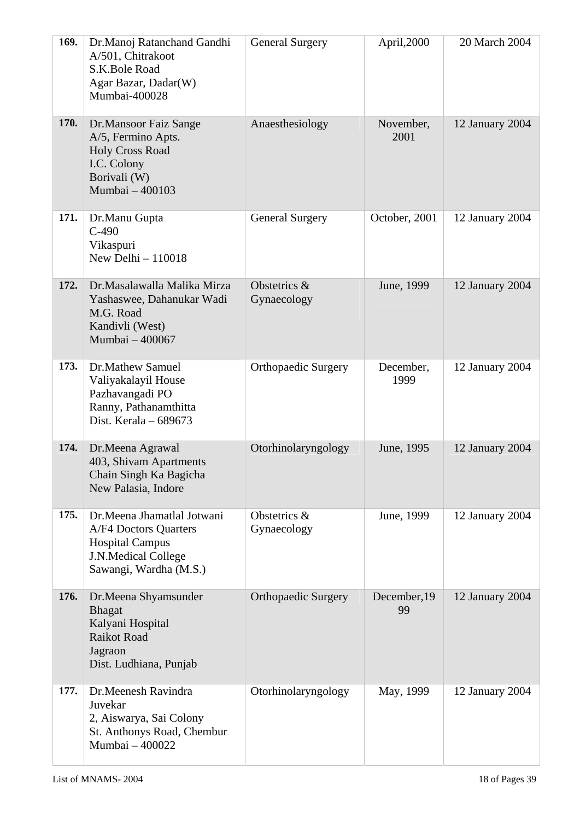| 169.        | Dr.Manoj Ratanchand Gandhi<br>A/501, Chitrakoot<br>S.K.Bole Road<br>Agar Bazar, Dadar(W)<br>Mumbai-400028                                    | <b>General Surgery</b>      | April,2000         | 20 March 2004   |
|-------------|----------------------------------------------------------------------------------------------------------------------------------------------|-----------------------------|--------------------|-----------------|
| <b>170.</b> | Dr.Mansoor Faiz Sange<br>A/5, Fermino Apts.<br><b>Holy Cross Road</b><br>I.C. Colony<br>Borivali (W)<br>Mumbai - 400103                      | Anaesthesiology             | November,<br>2001  | 12 January 2004 |
| 171.        | Dr.Manu Gupta<br>$C-490$<br>Vikaspuri<br>New Delhi $-110018$                                                                                 | <b>General Surgery</b>      | October, 2001      | 12 January 2004 |
| 172.        | Dr.Masalawalla Malika Mirza<br>Yashaswee, Dahanukar Wadi<br>M.G. Road<br>Kandivli (West)<br>Mumbai - 400067                                  | Obstetrics &<br>Gynaecology | June, 1999         | 12 January 2004 |
| 173.        | Dr.Mathew Samuel<br>Valiyakalayil House<br>Pazhavangadi PO<br>Ranny, Pathanamthitta<br>Dist. Kerala $-689673$                                | <b>Orthopaedic Surgery</b>  | December,<br>1999  | 12 January 2004 |
| 174.        | Dr.Meena Agrawal<br>403, Shivam Apartments<br>Chain Singh Ka Bagicha<br>New Palasia, Indore                                                  | Otorhinolaryngology         | June, 1995         | 12 January 2004 |
| 175.        | Dr.Meena Jhamatlal Jotwani<br><b>A/F4 Doctors Quarters</b><br><b>Hospital Campus</b><br><b>J.N.Medical College</b><br>Sawangi, Wardha (M.S.) | Obstetrics &<br>Gynaecology | June, 1999         | 12 January 2004 |
| 176.        | Dr.Meena Shyamsunder<br><b>Bhagat</b><br>Kalyani Hospital<br><b>Raikot Road</b><br>Jagraon<br>Dist. Ludhiana, Punjab                         | <b>Orthopaedic Surgery</b>  | December, 19<br>99 | 12 January 2004 |
| 177.        | Dr.Meenesh Ravindra<br>Juvekar<br>2, Aiswarya, Sai Colony<br>St. Anthonys Road, Chembur<br>Mumbai - 400022                                   | Otorhinolaryngology         | May, 1999          | 12 January 2004 |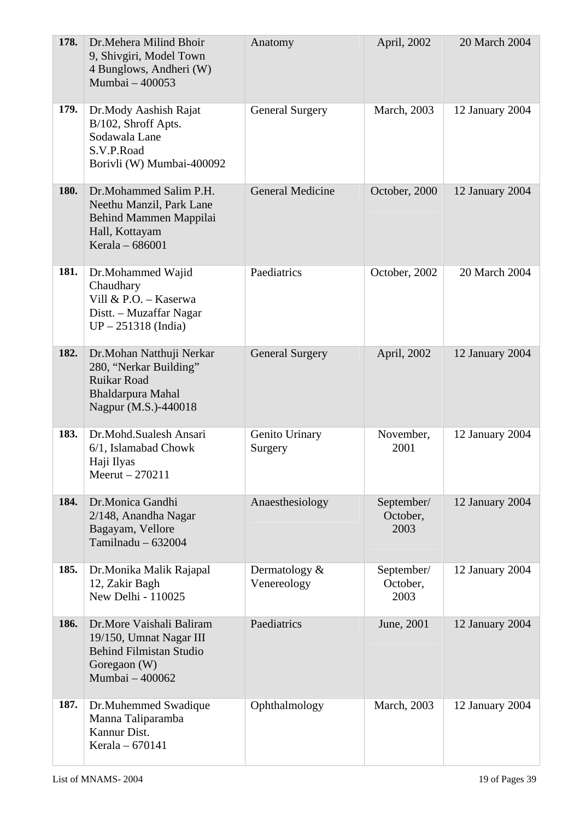| 178. | Dr. Mehera Milind Bhoir<br>9, Shivgiri, Model Town<br>4 Bunglows, Andheri (W)<br>Mumbai - 400053                         | Anatomy                         | April, 2002                    | 20 March 2004   |
|------|--------------------------------------------------------------------------------------------------------------------------|---------------------------------|--------------------------------|-----------------|
| 179. | Dr.Mody Aashish Rajat<br>B/102, Shroff Apts.<br>Sodawala Lane<br>S.V.P.Road<br>Borivli (W) Mumbai-400092                 | <b>General Surgery</b>          | March, 2003                    | 12 January 2004 |
| 180. | Dr.Mohammed Salim P.H.<br>Neethu Manzil, Park Lane<br>Behind Mammen Mappilai<br>Hall, Kottayam<br>Kerala - 686001        | <b>General Medicine</b>         | October, 2000                  | 12 January 2004 |
| 181. | Dr.Mohammed Wajid<br>Chaudhary<br>Vill & P.O. - Kaserwa<br>Distt. - Muzaffar Nagar<br>$UP - 251318$ (India)              | Paediatrics                     | October, 2002                  | 20 March 2004   |
| 182. | Dr.Mohan Natthuji Nerkar<br>280, "Nerkar Building"<br><b>Ruikar Road</b><br>Bhaldarpura Mahal<br>Nagpur (M.S.)-440018    | <b>General Surgery</b>          | April, 2002                    | 12 January 2004 |
| 183. | Dr.Mohd.Sualesh Ansari<br>6/1, Islamabad Chowk<br>Haji Ilyas<br>Meerut $-270211$                                         | Genito Urinary<br>Surgery       | November,<br>2001              | 12 January 2004 |
| 184. | Dr.Monica Gandhi<br>2/148, Anandha Nagar<br>Bagayam, Vellore<br>Tamilnadu $-632004$                                      | Anaesthesiology                 | September/<br>October,<br>2003 | 12 January 2004 |
| 185. | Dr.Monika Malik Rajapal<br>12, Zakir Bagh<br>New Delhi - 110025                                                          | Dermatology $\&$<br>Venereology | September/<br>October,<br>2003 | 12 January 2004 |
| 186. | Dr.More Vaishali Baliram<br>19/150, Umnat Nagar III<br><b>Behind Filmistan Studio</b><br>Goregaon (W)<br>Mumbai - 400062 | Paediatrics                     | June, 2001                     | 12 January 2004 |
| 187. | Dr.Muhemmed Swadique<br>Manna Taliparamba<br>Kannur Dist.<br>Kerala - 670141                                             | Ophthalmology                   | March, 2003                    | 12 January 2004 |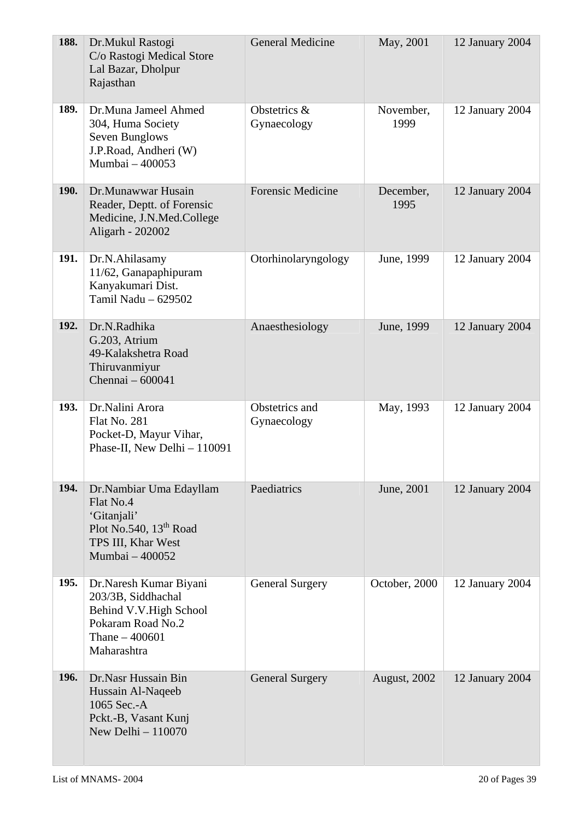| 188.        | Dr.Mukul Rastogi<br>C/o Rastogi Medical Store<br>Lal Bazar, Dholpur<br>Rajasthan                                                    | <b>General Medicine</b>       | May, 2001           | 12 January 2004 |
|-------------|-------------------------------------------------------------------------------------------------------------------------------------|-------------------------------|---------------------|-----------------|
| 189.        | Dr.Muna Jameel Ahmed<br>304, Huma Society<br>Seven Bunglows<br>J.P.Road, Andheri (W)<br>Mumbai - 400053                             | Obstetrics &<br>Gynaecology   | November,<br>1999   | 12 January 2004 |
| <b>190.</b> | Dr.Munawwar Husain<br>Reader, Deptt. of Forensic<br>Medicine, J.N.Med.College<br>Aligarh - 202002                                   | <b>Forensic Medicine</b>      | December,<br>1995   | 12 January 2004 |
| <b>191.</b> | Dr.N.Ahilasamy<br>11/62, Ganapaphipuram<br>Kanyakumari Dist.<br>Tamil Nadu - 629502                                                 | Otorhinolaryngology           | June, 1999          | 12 January 2004 |
| 192.        | Dr.N.Radhika<br>G.203, Atrium<br>49-Kalakshetra Road<br>Thiruvanmiyur<br>Chennai - 600041                                           | Anaesthesiology               | June, 1999          | 12 January 2004 |
| 193.        | Dr.Nalini Arora<br><b>Flat No. 281</b><br>Pocket-D, Mayur Vihar,<br>Phase-II, New Delhi - 110091                                    | Obstetrics and<br>Gynaecology | May, 1993           | 12 January 2004 |
| 194.        | Dr.Nambiar Uma Edayllam<br>Flat No.4<br>'Gitanjali'<br>Plot No.540, 13 <sup>th</sup> Road<br>TPS III, Khar West<br>Mumbai $-400052$ | Paediatrics                   | June, 2001          | 12 January 2004 |
| <b>195.</b> | Dr.Naresh Kumar Biyani<br>203/3B, Siddhachal<br>Behind V.V. High School<br>Pokaram Road No.2<br>Thane $-400601$<br>Maharashtra      | <b>General Surgery</b>        | October, 2000       | 12 January 2004 |
| <b>196.</b> | Dr.Nasr Hussain Bin<br>Hussain Al-Naqeeb<br>1065 Sec.-A<br>Pckt.-B, Vasant Kunj<br>New Delhi $-110070$                              | <b>General Surgery</b>        | <b>August, 2002</b> | 12 January 2004 |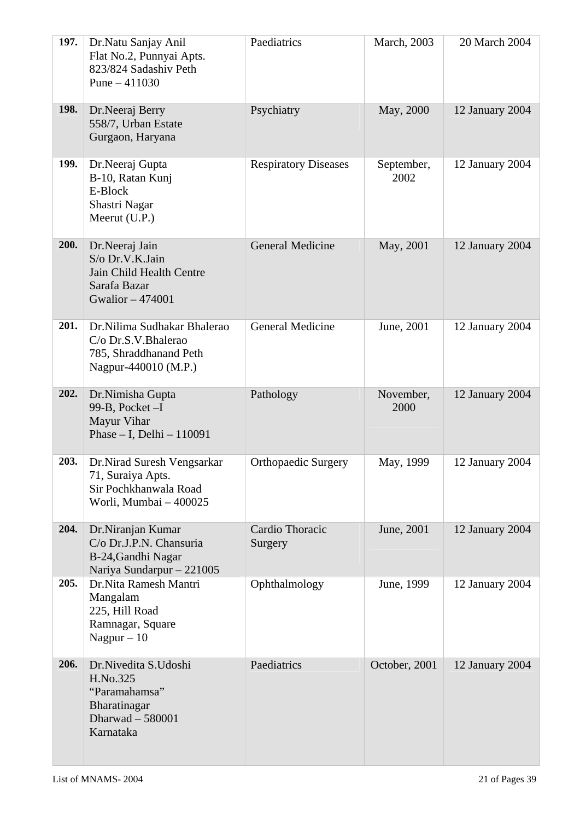| 197.        | Dr.Natu Sanjay Anil<br>Flat No.2, Punnyai Apts.<br>823/824 Sadashiv Peth<br>Pune $-411030$           | Paediatrics                 | March, 2003        | 20 March 2004   |
|-------------|------------------------------------------------------------------------------------------------------|-----------------------------|--------------------|-----------------|
| <b>198.</b> | Dr.Neeraj Berry<br>558/7, Urban Estate<br>Gurgaon, Haryana                                           | Psychiatry                  | May, 2000          | 12 January 2004 |
| 199.        | Dr.Neeraj Gupta<br>B-10, Ratan Kunj<br>E-Block<br>Shastri Nagar<br>Meerut $(U.P.)$                   | <b>Respiratory Diseases</b> | September,<br>2002 | 12 January 2004 |
| 200.        | Dr.Neeraj Jain<br>S/o Dr.V.K.Jain<br>Jain Child Health Centre<br>Sarafa Bazar<br>Gwalior - 474001    | <b>General Medicine</b>     | May, 2001          | 12 January 2004 |
| 201.        | Dr.Nilima Sudhakar Bhalerao<br>C/o Dr.S.V.Bhalerao<br>785, Shraddhanand Peth<br>Nagpur-440010 (M.P.) | <b>General Medicine</b>     | June, 2001         | 12 January 2004 |
| 202.        | Dr.Nimisha Gupta<br>99-B, Pocket $-I$<br>Mayur Vihar<br>Phase $- I$ , Delhi $- 110091$               | Pathology                   | November,<br>2000  | 12 January 2004 |
| 203.        | Dr.Nirad Suresh Vengsarkar<br>71, Suraiya Apts.<br>Sir Pochkhanwala Road<br>Worli, Mumbai - 400025   | <b>Orthopaedic Surgery</b>  | May, 1999          | 12 January 2004 |
| 204.        | Dr.Niranjan Kumar<br>C/o Dr.J.P.N. Chansuria<br>B-24, Gandhi Nagar<br>Nariya Sundarpur - 221005      | Cardio Thoracic<br>Surgery  | June, 2001         | 12 January 2004 |
| 205.        | Dr.Nita Ramesh Mantri<br>Mangalam<br>225, Hill Road<br>Ramnagar, Square<br>Nagpur $-10$              | Ophthalmology               | June, 1999         | 12 January 2004 |
| 206.        | Dr.Nivedita S.Udoshi<br>H.No.325<br>"Paramahamsa"<br>Bharatinagar<br>Dharwad - 580001<br>Karnataka   | Paediatrics                 | October, 2001      | 12 January 2004 |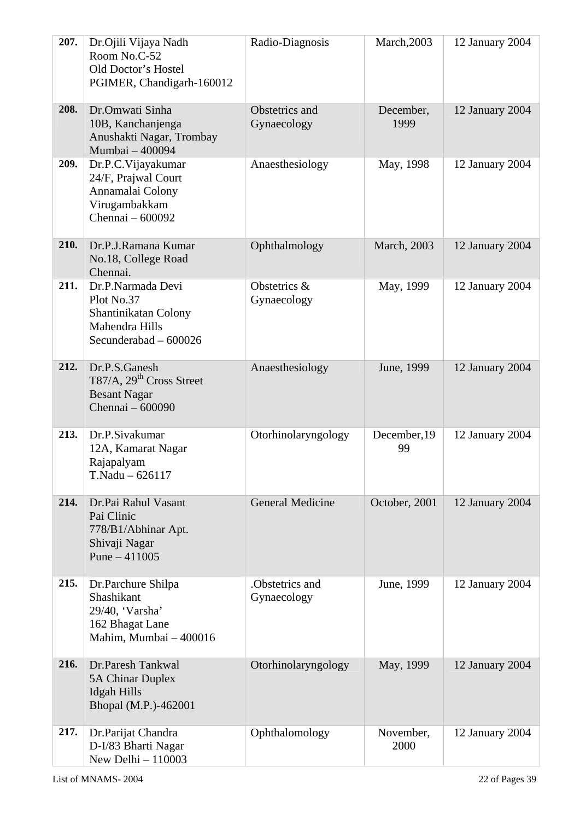| 207. | Dr.Ojili Vijaya Nadh<br>Room No.C-52<br>Old Doctor's Hostel<br>PGIMER, Chandigarh-160012           | Radio-Diagnosis                | March, 2003        | 12 January 2004 |
|------|----------------------------------------------------------------------------------------------------|--------------------------------|--------------------|-----------------|
| 208. | Dr.Omwati Sinha<br>10B, Kanchanjenga<br>Anushakti Nagar, Trombay<br>Mumbai - 400094                | Obstetrics and<br>Gynaecology  | December,<br>1999  | 12 January 2004 |
| 209. | Dr.P.C.Vijayakumar<br>24/F, Prajwal Court<br>Annamalai Colony<br>Virugambakkam<br>Chennai - 600092 | Anaesthesiology                | May, 1998          | 12 January 2004 |
| 210. | Dr.P.J.Ramana Kumar<br>No.18, College Road<br>Chennai.                                             | Ophthalmology                  | March, 2003        | 12 January 2004 |
| 211. | Dr.P.Narmada Devi<br>Plot No.37<br>Shantinikatan Colony<br>Mahendra Hills<br>Secunderabad - 600026 | Obstetrics &<br>Gynaecology    | May, 1999          | 12 January 2004 |
| 212. | Dr.P.S.Ganesh<br>T87/A, 29 <sup>th</sup> Cross Street<br><b>Besant Nagar</b><br>Chennai - 600090   | Anaesthesiology                | June, 1999         | 12 January 2004 |
| 213. | Dr.P.Sivakumar<br>12A, Kamarat Nagar<br>Rajapalyam<br>$T.Nadu - 626117$                            | Otorhinolaryngology            | December, 19<br>99 | 12 January 2004 |
| 214. | Dr.Pai Rahul Vasant<br>Pai Clinic<br>778/B1/Abhinar Apt.<br>Shivaji Nagar<br>Pune $-411005$        | <b>General Medicine</b>        | October, 2001      | 12 January 2004 |
| 215. | Dr.Parchure Shilpa<br>Shashikant<br>29/40, 'Varsha'<br>162 Bhagat Lane<br>Mahim, Mumbai - 400016   | .Obstetrics and<br>Gynaecology | June, 1999         | 12 January 2004 |
| 216. | Dr.Paresh Tankwal<br><b>5A Chinar Duplex</b><br><b>Idgah Hills</b><br>Bhopal (M.P.)-462001         | Otorhinolaryngology            | May, 1999          | 12 January 2004 |
| 217. | Dr.Parijat Chandra<br>D-I/83 Bharti Nagar<br>New Delhi - 110003                                    | Ophthalomology                 | November,<br>2000  | 12 January 2004 |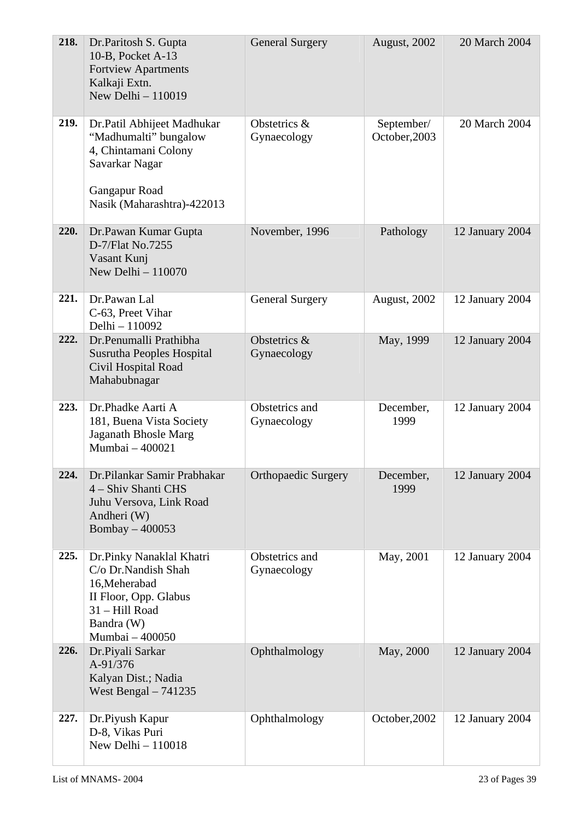| 218. | Dr.Paritosh S. Gupta<br>10-B, Pocket A-13<br><b>Fortview Apartments</b><br>Kalkaji Extn.<br>New Delhi $-110019$                              | <b>General Surgery</b>        | August, 2002                | 20 March 2004   |
|------|----------------------------------------------------------------------------------------------------------------------------------------------|-------------------------------|-----------------------------|-----------------|
| 219. | Dr.Patil Abhijeet Madhukar<br>"Madhumalti" bungalow<br>4, Chintamani Colony<br>Savarkar Nagar<br>Gangapur Road<br>Nasik (Maharashtra)-422013 | Obstetrics &<br>Gynaecology   | September/<br>October, 2003 | 20 March 2004   |
| 220. | Dr.Pawan Kumar Gupta<br>D-7/Flat No.7255<br>Vasant Kunj<br>New Delhi $-110070$                                                               | November, 1996                | Pathology                   | 12 January 2004 |
| 221. | Dr.Pawan Lal<br>C-63, Preet Vihar<br>Delhi - 110092                                                                                          | <b>General Surgery</b>        | August, 2002                | 12 January 2004 |
| 222. | Dr.Penumalli Prathibha<br><b>Susrutha Peoples Hospital</b><br>Civil Hospital Road<br>Mahabubnagar                                            | Obstetrics &<br>Gynaecology   | May, 1999                   | 12 January 2004 |
| 223. | Dr.Phadke Aarti A<br>181, Buena Vista Society<br>Jaganath Bhosle Marg<br>Mumbai - 400021                                                     | Obstetrics and<br>Gynaecology | December,<br>1999           | 12 January 2004 |
| 224. | Dr.Pilankar Samir Prabhakar<br>4 – Shiv Shanti CHS<br>Juhu Versova, Link Road<br>Andheri (W)<br>Bombay $-400053$                             | <b>Orthopaedic Surgery</b>    | December,<br>1999           | 12 January 2004 |
| 225. | Dr.Pinky Nanaklal Khatri<br>C/o Dr.Nandish Shah<br>16, Meherabad<br>II Floor, Opp. Glabus<br>31 - Hill Road<br>Bandra (W)<br>Mumbai - 400050 | Obstetrics and<br>Gynaecology | May, 2001                   | 12 January 2004 |
| 226. | Dr.Piyali Sarkar<br>A-91/376<br>Kalyan Dist.; Nadia<br>West Bengal $-741235$                                                                 | Ophthalmology                 | May, 2000                   | 12 January 2004 |
| 227. | Dr.Piyush Kapur<br>D-8, Vikas Puri<br>New Delhi $-110018$                                                                                    | Ophthalmology                 | October, 2002               | 12 January 2004 |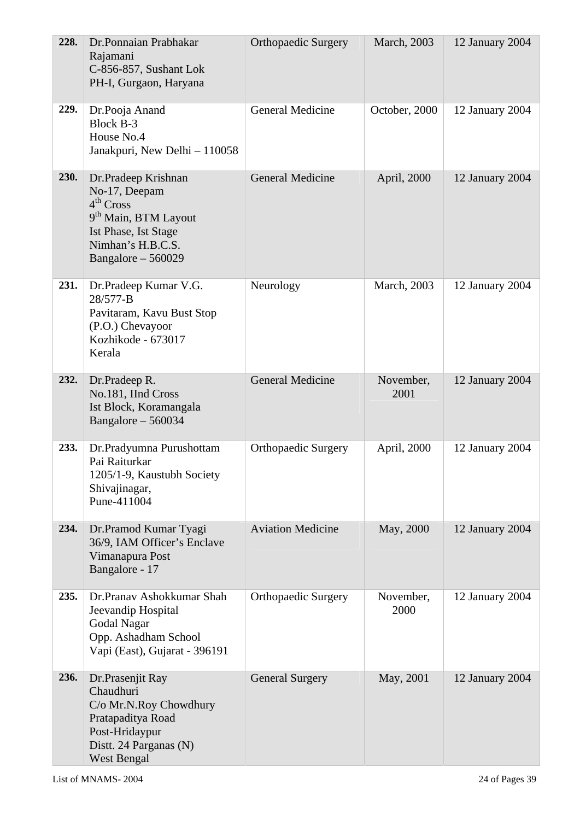| 228. | Dr.Ponnaian Prabhakar<br>Rajamani<br>C-856-857, Sushant Lok<br>PH-I, Gurgaon, Haryana                                                                                 | <b>Orthopaedic Surgery</b> | March, 2003       | 12 January 2004 |
|------|-----------------------------------------------------------------------------------------------------------------------------------------------------------------------|----------------------------|-------------------|-----------------|
| 229. | Dr.Pooja Anand<br><b>Block B-3</b><br>House No.4<br>Janakpuri, New Delhi - 110058                                                                                     | General Medicine           | October, 2000     | 12 January 2004 |
| 230. | Dr.Pradeep Krishnan<br>No-17, Deepam<br>4 <sup>th</sup> Cross<br>9 <sup>th</sup> Main, BTM Layout<br>Ist Phase, Ist Stage<br>Nimhan's H.B.C.S.<br>Bangalore $-560029$ | <b>General Medicine</b>    | April, 2000       | 12 January 2004 |
| 231. | Dr.Pradeep Kumar V.G.<br>28/577-B<br>Pavitaram, Kavu Bust Stop<br>(P.O.) Chevayoor<br>Kozhikode - 673017<br>Kerala                                                    | Neurology                  | March, 2003       | 12 January 2004 |
| 232. | Dr.Pradeep R.<br>No.181, IInd Cross<br>Ist Block, Koramangala<br>Bangalore - 560034                                                                                   | <b>General Medicine</b>    | November,<br>2001 | 12 January 2004 |
| 233. | Dr.Pradyumna Purushottam<br>Pai Raiturkar<br>1205/1-9, Kaustubh Society<br>Shivajinagar,<br>Pune-411004                                                               | <b>Orthopaedic Surgery</b> | April, 2000       | 12 January 2004 |
| 234. | Dr.Pramod Kumar Tyagi<br>36/9, IAM Officer's Enclave<br>Vimanapura Post<br>Bangalore - 17                                                                             | <b>Aviation Medicine</b>   | May, 2000         | 12 January 2004 |
| 235. | Dr.Pranav Ashokkumar Shah<br>Jeevandip Hospital<br>Godal Nagar<br>Opp. Ashadham School<br>Vapi (East), Gujarat - 396191                                               | <b>Orthopaedic Surgery</b> | November,<br>2000 | 12 January 2004 |
| 236. | Dr.Prasenjit Ray<br>Chaudhuri<br>C/o Mr.N.Roy Chowdhury<br>Pratapaditya Road<br>Post-Hridaypur<br>Distt. 24 Parganas (N)<br>West Bengal                               | <b>General Surgery</b>     | May, 2001         | 12 January 2004 |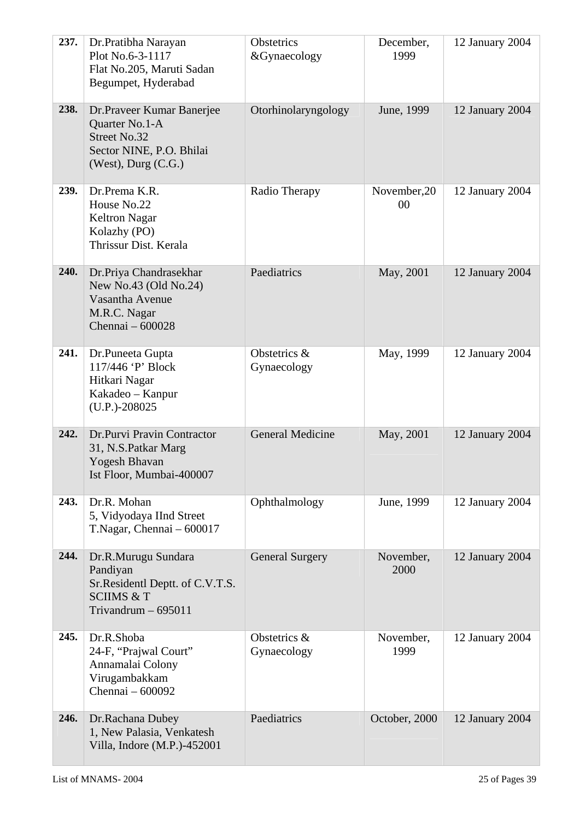| 237. | Dr.Pratibha Narayan<br>Plot No.6-3-1117<br>Flat No.205, Maruti Sadan<br>Begumpet, Hyderabad                                | Obstetrics<br>&Gynaecology  | December,<br>1999  | 12 January 2004 |
|------|----------------------------------------------------------------------------------------------------------------------------|-----------------------------|--------------------|-----------------|
| 238. | Dr.Praveer Kumar Banerjee<br>Quarter No.1-A<br><b>Street No.32</b><br>Sector NINE, P.O. Bhilai<br>$(West)$ , Durg $(C.G.)$ | Otorhinolaryngology         | June, 1999         | 12 January 2004 |
| 239. | Dr.Prema K.R.<br>House No.22<br><b>Keltron Nagar</b><br>Kolazhy (PO)<br>Thrissur Dist. Kerala                              | Radio Therapy               | November, 20<br>00 | 12 January 2004 |
| 240. | Dr.Priya Chandrasekhar<br>New No.43 (Old No.24)<br>Vasantha Avenue<br>M.R.C. Nagar<br>Chennai – 600028                     | Paediatrics                 | May, 2001          | 12 January 2004 |
| 241. | Dr.Puneeta Gupta<br>117/446 'P' Block<br>Hitkari Nagar<br>Kakadeo – Kanpur<br>$(U.P.) - 208025$                            | Obstetrics &<br>Gynaecology | May, 1999          | 12 January 2004 |
| 242. | Dr.Purvi Pravin Contractor<br>31, N.S.Patkar Marg<br>Yogesh Bhavan<br>Ist Floor, Mumbai-400007                             | <b>General Medicine</b>     | May, 2001          | 12 January 2004 |
| 243. | Dr.R. Mohan<br>5, Vidyodaya IInd Street<br>T.Nagar, Chennai $-600017$                                                      | Ophthalmology               | June, 1999         | 12 January 2004 |
| 244. | Dr.R.Murugu Sundara<br>Pandiyan<br>Sr. Residentl Deptt. of C.V.T.S.<br><b>SCIIMS &amp; T</b><br>Trivandrum $-695011$       | <b>General Surgery</b>      | November,<br>2000  | 12 January 2004 |
| 245. | Dr.R.Shoba<br>24-F, "Prajwal Court"<br>Annamalai Colony<br>Virugambakkam<br>Chennai - 600092                               | Obstetrics &<br>Gynaecology | November,<br>1999  | 12 January 2004 |
| 246. | Dr.Rachana Dubey<br>1, New Palasia, Venkatesh<br>Villa, Indore (M.P.)-452001                                               | Paediatrics                 | October, 2000      | 12 January 2004 |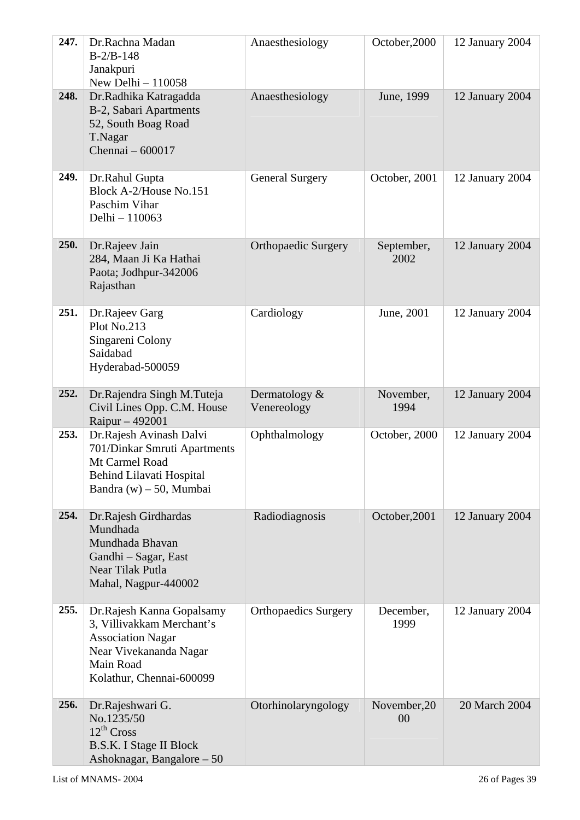| 247. | Dr.Rachna Madan<br>$B-2/B-148$<br>Janakpuri<br>New Delhi $-110058$                                                                                    | Anaesthesiology              | October, 2000      | 12 January 2004 |
|------|-------------------------------------------------------------------------------------------------------------------------------------------------------|------------------------------|--------------------|-----------------|
| 248. | Dr.Radhika Katragadda<br>B-2, Sabari Apartments<br>52, South Boag Road<br>T.Nagar<br>Chennai - 600017                                                 | Anaesthesiology              | June, 1999         | 12 January 2004 |
| 249. | Dr.Rahul Gupta<br>Block A-2/House No.151<br>Paschim Vihar<br>Delhi - 110063                                                                           | <b>General Surgery</b>       | October, 2001      | 12 January 2004 |
| 250. | Dr.Rajeev Jain<br>284, Maan Ji Ka Hathai<br>Paota; Jodhpur-342006<br>Rajasthan                                                                        | <b>Orthopaedic Surgery</b>   | September,<br>2002 | 12 January 2004 |
| 251. | Dr.Rajeev Garg<br>Plot No.213<br>Singareni Colony<br>Saidabad<br>Hyderabad-500059                                                                     | Cardiology                   | June, 2001         | 12 January 2004 |
| 252. | Dr.Rajendra Singh M.Tuteja<br>Civil Lines Opp. C.M. House<br>Raipur - 492001                                                                          | Dermatology &<br>Venereology | November,<br>1994  | 12 January 2004 |
| 253. | Dr.Rajesh Avinash Dalvi<br>701/Dinkar Smruti Apartments<br>Mt Carmel Road<br><b>Behind Lilavati Hospital</b><br>Bandra (w) $-50$ , Mumbai             | Ophthalmology                | October, 2000      | 12 January 2004 |
| 254. | Dr.Rajesh Girdhardas<br>Mundhada<br>Mundhada Bhavan<br>Gandhi – Sagar, East<br>Near Tilak Putla<br>Mahal, Nagpur-440002                               | Radiodiagnosis               | October, 2001      | 12 January 2004 |
| 255. | Dr.Rajesh Kanna Gopalsamy<br>3, Villivakkam Merchant's<br><b>Association Nagar</b><br>Near Vivekananda Nagar<br>Main Road<br>Kolathur, Chennai-600099 | <b>Orthopaedics Surgery</b>  | December,<br>1999  | 12 January 2004 |
| 256. | Dr.Rajeshwari G.<br>No.1235/50<br>$12^{th}$ Cross<br>B.S.K. I Stage II Block<br>Ashoknagar, Bangalore - 50                                            | Otorhinolaryngology          | November, 20<br>00 | 20 March 2004   |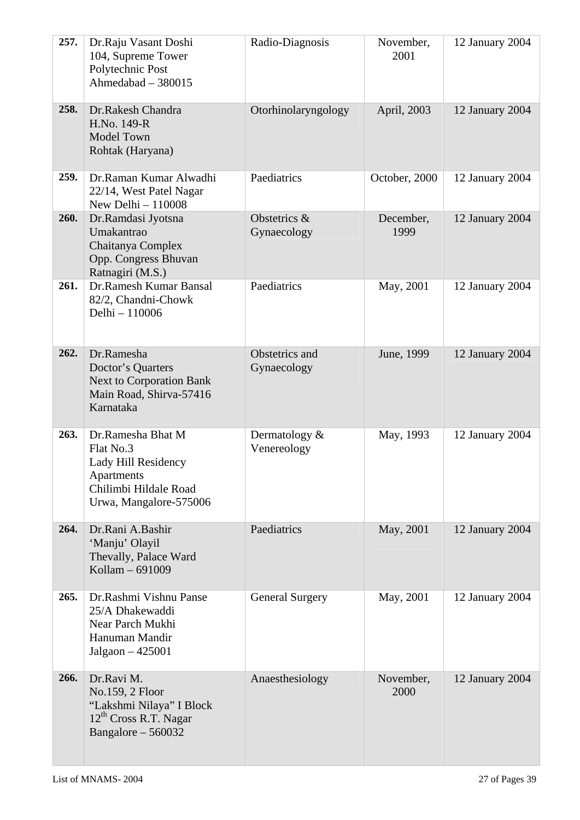| 257. | Dr.Raju Vasant Doshi<br>104, Supreme Tower<br>Polytechnic Post<br>Ahmedabad - 380015                                   | Radio-Diagnosis                | November,<br>2001 | 12 January 2004 |
|------|------------------------------------------------------------------------------------------------------------------------|--------------------------------|-------------------|-----------------|
| 258. | Dr.Rakesh Chandra<br>H.No. 149-R<br><b>Model Town</b><br>Rohtak (Haryana)                                              | Otorhinolaryngology            | April, 2003       | 12 January 2004 |
| 259. | Dr.Raman Kumar Alwadhi<br>22/14, West Patel Nagar<br>New Delhi - 110008                                                | Paediatrics                    | October, 2000     | 12 January 2004 |
| 260. | Dr.Ramdasi Jyotsna<br>Umakantrao<br>Chaitanya Complex<br>Opp. Congress Bhuvan<br>Ratnagiri (M.S.)                      | Obstetrics &<br>Gynaecology    | December,<br>1999 | 12 January 2004 |
| 261. | Dr.Ramesh Kumar Bansal<br>82/2, Chandni-Chowk<br>Delhi - 110006                                                        | Paediatrics                    | May, 2001         | 12 January 2004 |
| 262. | Dr.Ramesha<br>Doctor's Quarters<br><b>Next to Corporation Bank</b><br>Main Road, Shirva-57416<br>Karnataka             | Obstetrics and<br>Gynaecology  | June, 1999        | 12 January 2004 |
| 263. | Dr.Ramesha Bhat M<br>Flat No.3<br>Lady Hill Residency<br>Apartments<br>Chilimbi Hildale Road<br>Urwa, Mangalore-575006 | Dermatology $&$<br>Venereology | May, 1993         | 12 January 2004 |
| 264. | Dr.Rani A.Bashir<br>'Manju' Olayil<br>Thevally, Palace Ward<br>Kollam - 691009                                         | Paediatrics                    | May, 2001         | 12 January 2004 |
| 265. | Dr.Rashmi Vishnu Panse<br>25/A Dhakewaddi<br>Near Parch Mukhi<br>Hanuman Mandir<br>Jalgaon $-425001$                   | <b>General Surgery</b>         | May, 2001         | 12 January 2004 |
| 266. | Dr.Ravi M.<br>No.159, 2 Floor<br>"Lakshmi Nilaya" I Block<br>12 <sup>th</sup> Cross R.T. Nagar<br>Bangalore - 560032   | Anaesthesiology                | November,<br>2000 | 12 January 2004 |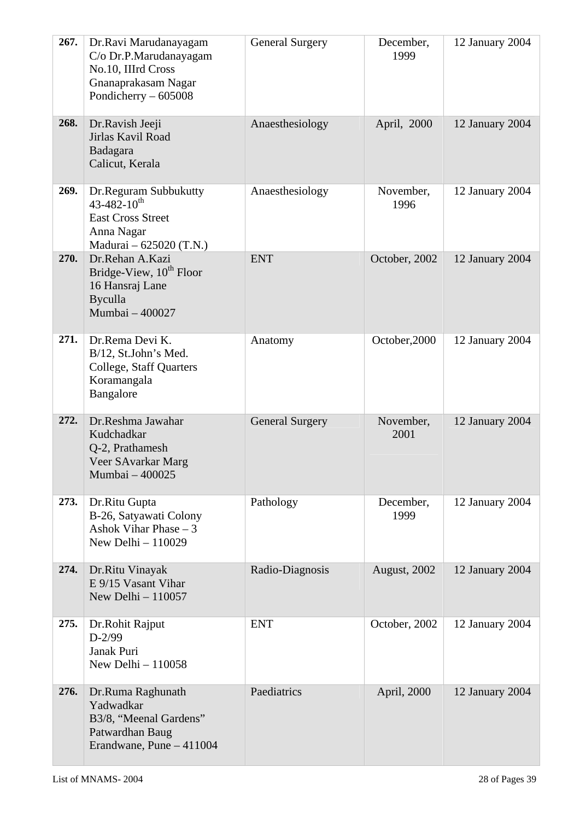| 267. | Dr.Ravi Marudanayagam<br>C/o Dr.P.Marudanayagam<br>No.10, IIIrd Cross<br>Gnanaprakasam Nagar<br>Pondicherry $-605008$ | <b>General Surgery</b> | December,<br>1999 | 12 January 2004 |
|------|-----------------------------------------------------------------------------------------------------------------------|------------------------|-------------------|-----------------|
| 268. | Dr.Ravish Jeeji<br>Jirlas Kavil Road<br>Badagara<br>Calicut, Kerala                                                   | Anaesthesiology        | April, 2000       | 12 January 2004 |
| 269. | Dr.Reguram Subbukutty<br>$43 - 482 - 10^{th}$<br><b>East Cross Street</b><br>Anna Nagar<br>Madurai – 625020 (T.N.)    | Anaesthesiology        | November,<br>1996 | 12 January 2004 |
| 270. | Dr.Rehan A.Kazi<br>Bridge-View, 10 <sup>th</sup> Floor<br>16 Hansraj Lane<br><b>Byculla</b><br>Mumbai - 400027        | <b>ENT</b>             | October, 2002     | 12 January 2004 |
| 271. | Dr.Rema Devi K.<br>B/12, St.John's Med.<br>College, Staff Quarters<br>Koramangala<br>Bangalore                        | Anatomy                | October, 2000     | 12 January 2004 |
| 272. | Dr.Reshma Jawahar<br>Kudchadkar<br>Q-2, Prathamesh<br>Veer SAvarkar Marg<br>Mumbai - 400025                           | <b>General Surgery</b> | November,<br>2001 | 12 January 2004 |
| 273. | Dr.Ritu Gupta<br>B-26, Satyawati Colony<br>Ashok Vihar Phase $-3$<br>New Delhi - 110029                               | Pathology              | December,<br>1999 | 12 January 2004 |
| 274. | Dr.Ritu Vinayak<br>E 9/15 Vasant Vihar<br>New Delhi $-110057$                                                         | Radio-Diagnosis        | August, 2002      | 12 January 2004 |
| 275. | Dr.Rohit Rajput<br>$D-2/99$<br>Janak Puri<br>New Delhi $-110058$                                                      | <b>ENT</b>             | October, 2002     | 12 January 2004 |
| 276. | Dr.Ruma Raghunath<br>Yadwadkar<br>B3/8, "Meenal Gardens"<br>Patwardhan Baug<br>Erandwane, Pune - 411004               | Paediatrics            | April, 2000       | 12 January 2004 |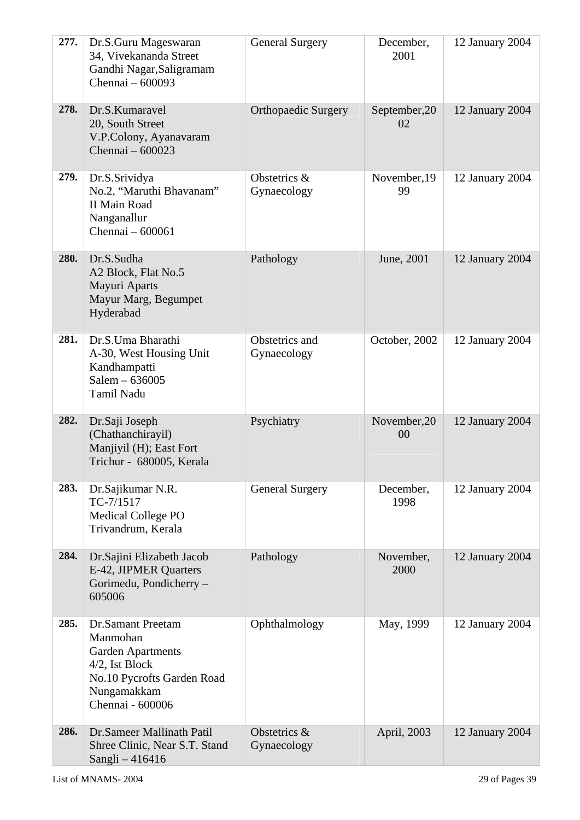| 277. | Dr.S.Guru Mageswaran<br>34, Vivekananda Street<br>Gandhi Nagar, Saligramam<br>Chennai - 600093                                                      | <b>General Surgery</b>        | December,<br>2001   | 12 January 2004 |
|------|-----------------------------------------------------------------------------------------------------------------------------------------------------|-------------------------------|---------------------|-----------------|
| 278. | Dr.S.Kumaravel<br>20, South Street<br>V.P.Colony, Ayanavaram<br>Chennai - 600023                                                                    | <b>Orthopaedic Surgery</b>    | September, 20<br>02 | 12 January 2004 |
| 279. | Dr.S.Srividya<br>No.2, "Maruthi Bhavanam"<br><b>II Main Road</b><br>Nanganallur<br>Chennai - 600061                                                 | Obstetrics &<br>Gynaecology   | November, 19<br>99  | 12 January 2004 |
| 280. | Dr.S.Sudha<br>A2 Block, Flat No.5<br>Mayuri Aparts<br>Mayur Marg, Begumpet<br>Hyderabad                                                             | Pathology                     | June, 2001          | 12 January 2004 |
| 281. | Dr.S.Uma Bharathi<br>A-30, West Housing Unit<br>Kandhampatti<br>Salem - 636005<br>Tamil Nadu                                                        | Obstetrics and<br>Gynaecology | October, 2002       | 12 January 2004 |
| 282. | Dr.Saji Joseph<br>(Chathanchirayil)<br>Manjiyil (H); East Fort<br>Trichur - 680005, Kerala                                                          | Psychiatry                    | November, 20<br>00  | 12 January 2004 |
| 283. | Dr.Sajikumar N.R.<br>TC-7/1517<br><b>Medical College PO</b><br>Trivandrum, Kerala                                                                   | <b>General Surgery</b>        | December,<br>1998   | 12 January 2004 |
| 284. | Dr.Sajini Elizabeth Jacob<br>E-42, JIPMER Quarters<br>Gorimedu, Pondicherry -<br>605006                                                             | Pathology                     | November,<br>2000   | 12 January 2004 |
| 285. | <b>Dr.Samant Preetam</b><br>Manmohan<br><b>Garden Apartments</b><br>4/2, Ist Block<br>No.10 Pycrofts Garden Road<br>Nungamakkam<br>Chennai - 600006 | Ophthalmology                 | May, 1999           | 12 January 2004 |
| 286. | Dr.Sameer Mallinath Patil<br>Shree Clinic, Near S.T. Stand<br>Sangli - 416416                                                                       | Obstetrics &<br>Gynaecology   | April, 2003         | 12 January 2004 |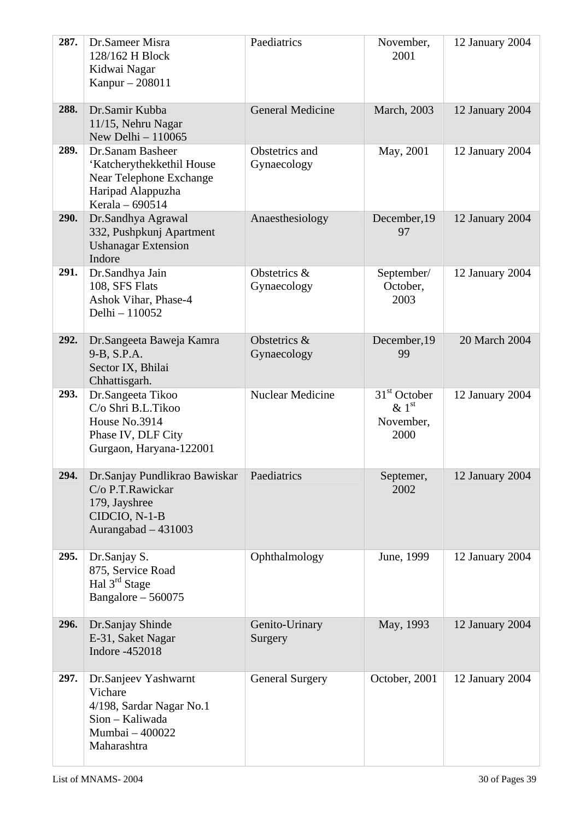| 287. | Dr.Sameer Misra<br>128/162 H Block<br>Kidwai Nagar<br>Kanpur - 208011                                            | Paediatrics                   | November,<br>2001                                           | 12 January 2004 |
|------|------------------------------------------------------------------------------------------------------------------|-------------------------------|-------------------------------------------------------------|-----------------|
| 288. | Dr.Samir Kubba<br>11/15, Nehru Nagar<br>New Delhi - 110065                                                       | <b>General Medicine</b>       | March, 2003                                                 | 12 January 2004 |
| 289. | Dr.Sanam Basheer<br>'Katcherythekkethil House<br>Near Telephone Exchange<br>Haripad Alappuzha<br>Kerala - 690514 | Obstetrics and<br>Gynaecology | May, 2001                                                   | 12 January 2004 |
| 290. | Dr.Sandhya Agrawal<br>332, Pushpkunj Apartment<br><b>Ushanagar Extension</b><br>Indore                           | Anaesthesiology               | December, 19<br>97                                          | 12 January 2004 |
| 291. | Dr.Sandhya Jain<br>108, SFS Flats<br>Ashok Vihar, Phase-4<br>Delhi - 110052                                      | Obstetrics &<br>Gynaecology   | September/<br>October,<br>2003                              | 12 January 2004 |
| 292. | Dr.Sangeeta Baweja Kamra<br>9-B, S.P.A.<br>Sector IX, Bhilai<br>Chhattisgarh.                                    | Obstetrics &<br>Gynaecology   | December, 19<br>99                                          | 20 March 2004   |
| 293. | Dr.Sangeeta Tikoo<br>C/o Shri B.L.Tikoo<br>House No.3914<br>Phase IV, DLF City<br>Gurgaon, Haryana-122001        | <b>Nuclear Medicine</b>       | $31st$ October<br>$\&$ 1 <sup>st</sup><br>November,<br>2000 | 12 January 2004 |
| 294. | Dr.Sanjay Pundlikrao Bawiskar<br>C/o P.T.Rawickar<br>179, Jayshree<br>CIDCIO, N-1-B<br>Aurangabad $-431003$      | Paediatrics                   | Septemer,<br>2002                                           | 12 January 2004 |
| 295. | Dr.Sanjay S.<br>875, Service Road<br>Hal $3^{rd}$ Stage<br>Bangalore $-560075$                                   | Ophthalmology                 | June, 1999                                                  | 12 January 2004 |
| 296. | Dr.Sanjay Shinde<br>E-31, Saket Nagar<br>Indore -452018                                                          | Genito-Urinary<br>Surgery     | May, 1993                                                   | 12 January 2004 |
| 297. | Dr.Sanjeev Yashwarnt<br>Vichare<br>4/198, Sardar Nagar No.1<br>Sion - Kaliwada<br>Mumbai - 400022<br>Maharashtra | <b>General Surgery</b>        | October, 2001                                               | 12 January 2004 |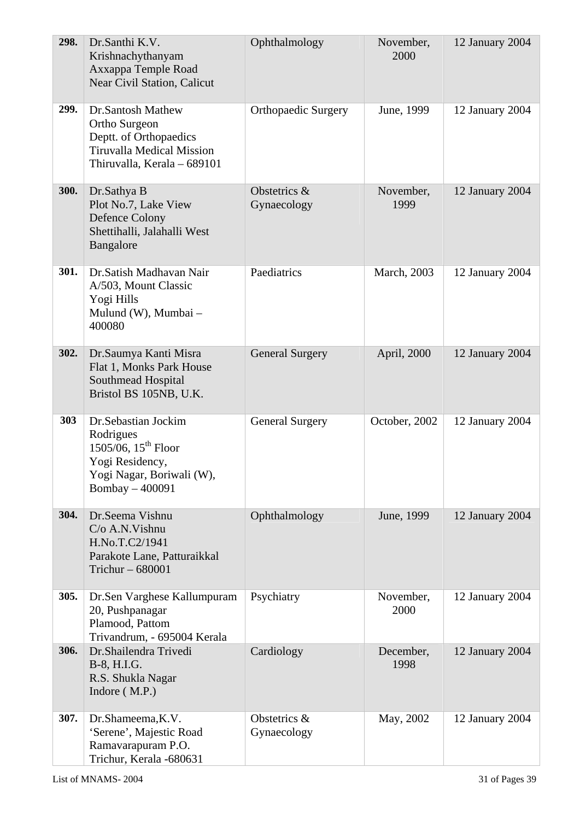| 298.        | Dr.Santhi K.V.<br>Krishnachythanyam<br>Axxappa Temple Road<br>Near Civil Station, Calicut                                          | Ophthalmology               | November,<br>2000 | 12 January 2004 |
|-------------|------------------------------------------------------------------------------------------------------------------------------------|-----------------------------|-------------------|-----------------|
| 299.        | Dr.Santosh Mathew<br>Ortho Surgeon<br>Deptt. of Orthopaedics<br><b>Tiruvalla Medical Mission</b><br>Thiruvalla, Kerala – 689101    | <b>Orthopaedic Surgery</b>  | June, 1999        | 12 January 2004 |
| <b>300.</b> | Dr.Sathya B<br>Plot No.7, Lake View<br>Defence Colony<br>Shettihalli, Jalahalli West<br>Bangalore                                  | Obstetrics &<br>Gynaecology | November,<br>1999 | 12 January 2004 |
| 301.        | Dr. Satish Madhavan Nair<br>A/503, Mount Classic<br>Yogi Hills<br>Mulund (W), Mumbai -<br>400080                                   | Paediatrics                 | March, 2003       | 12 January 2004 |
| 302.        | Dr.Saumya Kanti Misra<br>Flat 1, Monks Park House<br>Southmead Hospital<br>Bristol BS 105NB, U.K.                                  | <b>General Surgery</b>      | April, 2000       | 12 January 2004 |
| 303         | Dr.Sebastian Jockim<br>Rodrigues<br>$1505/06$ , $15^{th}$ Floor<br>Yogi Residency,<br>Yogi Nagar, Boriwali (W),<br>Bombay - 400091 | <b>General Surgery</b>      | October, 2002     | 12 January 2004 |
| 304.        | Dr.Seema Vishnu<br>C/o A.N. Vishnu<br>H.No.T.C2/1941<br>Parakote Lane, Patturaikkal<br>Trichur $-680001$                           | Ophthalmology               | June, 1999        | 12 January 2004 |
| 305.        | Dr.Sen Varghese Kallumpuram<br>20, Pushpanagar<br>Plamood, Pattom<br>Trivandrum, - 695004 Kerala                                   | Psychiatry                  | November,<br>2000 | 12 January 2004 |
| 306.        | Dr.Shailendra Trivedi<br>B-8, H.I.G.<br>R.S. Shukla Nagar<br>Indore $(M.P.)$                                                       | Cardiology                  | December,<br>1998 | 12 January 2004 |
| 307.        | Dr.Shameema, K.V.<br>'Serene', Majestic Road<br>Ramavarapuram P.O.<br>Trichur, Kerala -680631                                      | Obstetrics &<br>Gynaecology | May, 2002         | 12 January 2004 |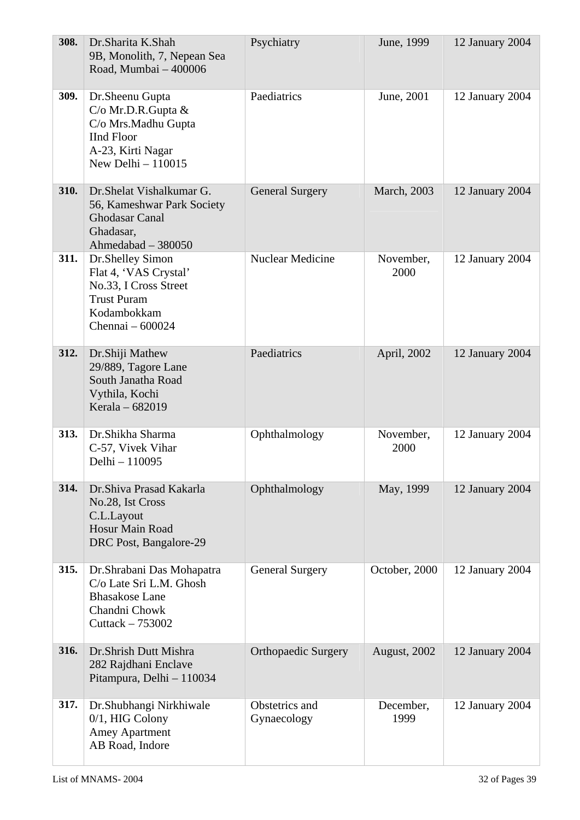| 308. | Dr.Sharita K.Shah<br>9B, Monolith, 7, Nepean Sea<br>Road, Mumbai - 400006                                                         | Psychiatry                    | June, 1999        | 12 January 2004 |
|------|-----------------------------------------------------------------------------------------------------------------------------------|-------------------------------|-------------------|-----------------|
| 309. | Dr.Sheenu Gupta<br>$C/O$ Mr.D.R.Gupta $&$<br>C/o Mrs.Madhu Gupta<br><b>IInd Floor</b><br>A-23, Kirti Nagar<br>New Delhi $-110015$ | Paediatrics                   | June, 2001        | 12 January 2004 |
| 310. | Dr. Shelat Vishalkumar G.<br>56, Kameshwar Park Society<br><b>Ghodasar Canal</b><br>Ghadasar,<br>Ahmedabad - 380050               | <b>General Surgery</b>        | March, 2003       | 12 January 2004 |
| 311. | Dr.Shelley Simon<br>Flat 4, 'VAS Crystal'<br>No.33, I Cross Street<br><b>Trust Puram</b><br>Kodambokkam<br>Chennai - 600024       | Nuclear Medicine              | November,<br>2000 | 12 January 2004 |
| 312. | Dr.Shiji Mathew<br>29/889, Tagore Lane<br>South Janatha Road<br>Vythila, Kochi<br>Kerala - 682019                                 | Paediatrics                   | April, 2002       | 12 January 2004 |
| 313. | Dr.Shikha Sharma<br>C-57, Vivek Vihar<br>Delhi - 110095                                                                           | Ophthalmology                 | November,<br>2000 | 12 January 2004 |
| 314. | Dr.Shiva Prasad Kakarla<br>No.28, Ist Cross<br>C.L.Layout<br>Hosur Main Road<br>DRC Post, Bangalore-29                            | Ophthalmology                 | May, 1999         | 12 January 2004 |
| 315. | Dr. Shrabani Das Mohapatra<br>C/o Late Sri L.M. Ghosh<br><b>Bhasakose Lane</b><br>Chandni Chowk<br>Cuttack $-753002$              | <b>General Surgery</b>        | October, 2000     | 12 January 2004 |
| 316. | Dr.Shrish Dutt Mishra<br>282 Rajdhani Enclave<br>Pitampura, Delhi - 110034                                                        | <b>Orthopaedic Surgery</b>    | August, 2002      | 12 January 2004 |
| 317. | Dr.Shubhangi Nirkhiwale<br>$0/1$ , HIG Colony<br><b>Amey Apartment</b><br>AB Road, Indore                                         | Obstetrics and<br>Gynaecology | December,<br>1999 | 12 January 2004 |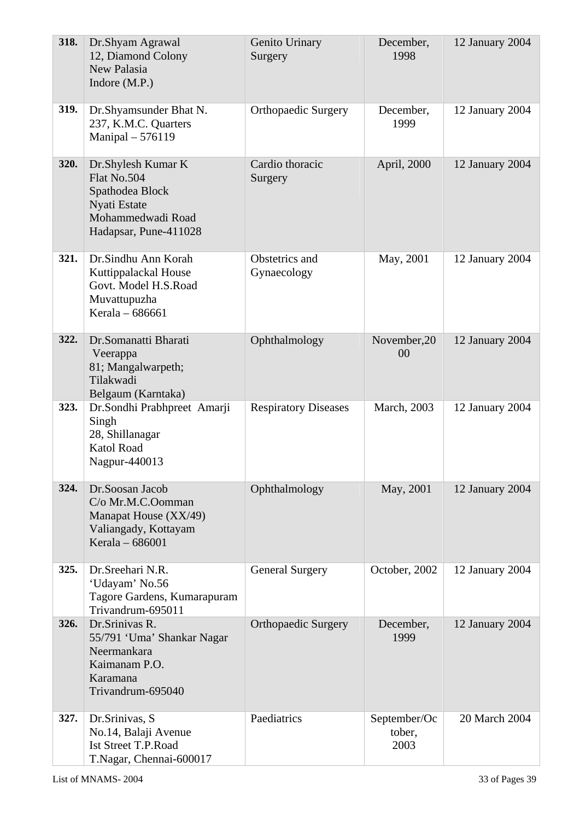| 318. | Dr.Shyam Agrawal<br>12, Diamond Colony<br>New Palasia<br>Indore (M.P.)                                             | Genito Urinary<br>Surgery     | December,<br>1998              | 12 January 2004 |
|------|--------------------------------------------------------------------------------------------------------------------|-------------------------------|--------------------------------|-----------------|
| 319. | Dr.Shyamsunder Bhat N.<br>237, K.M.C. Quarters<br>Manipal - 576119                                                 | <b>Orthopaedic Surgery</b>    | December,<br>1999              | 12 January 2004 |
| 320. | Dr.Shylesh Kumar K<br>Flat No.504<br>Spathodea Block<br>Nyati Estate<br>Mohammedwadi Road<br>Hadapsar, Pune-411028 | Cardio thoracic<br>Surgery    | April, 2000                    | 12 January 2004 |
| 321. | Dr.Sindhu Ann Korah<br>Kuttippalackal House<br>Govt. Model H.S.Road<br>Muvattupuzha<br>Kerala - 686661             | Obstetrics and<br>Gynaecology | May, 2001                      | 12 January 2004 |
| 322. | Dr.Somanatti Bharati<br>Veerappa<br>81; Mangalwarpeth;<br>Tilakwadi<br>Belgaum (Karntaka)                          | Ophthalmology                 | November, 20<br>00             | 12 January 2004 |
| 323. | Dr.Sondhi Prabhpreet Amarji<br>Singh<br>28, Shillanagar<br><b>Katol Road</b><br>Nagpur-440013                      | <b>Respiratory Diseases</b>   | March, 2003                    | 12 January 2004 |
| 324. | Dr.Soosan Jacob<br>C/o Mr.M.C.Oomman<br>Manapat House (XX/49)<br>Valiangady, Kottayam<br>Kerala - 686001           | Ophthalmology                 | May, 2001                      | 12 January 2004 |
| 325. | Dr.Sreehari N.R.<br>'Udayam' No.56<br>Tagore Gardens, Kumarapuram<br>Trivandrum-695011                             | <b>General Surgery</b>        | October, 2002                  | 12 January 2004 |
| 326. | Dr.Srinivas R.<br>55/791 'Uma' Shankar Nagar<br>Neermankara<br>Kaimanam P.O.<br>Karamana<br>Trivandrum-695040      | <b>Orthopaedic Surgery</b>    | December,<br>1999              | 12 January 2004 |
| 327. | Dr. Srinivas, S.<br>No.14, Balaji Avenue<br><b>Ist Street T.P.Road</b><br>T.Nagar, Chennai-600017                  | Paediatrics                   | September/Oc<br>tober,<br>2003 | 20 March 2004   |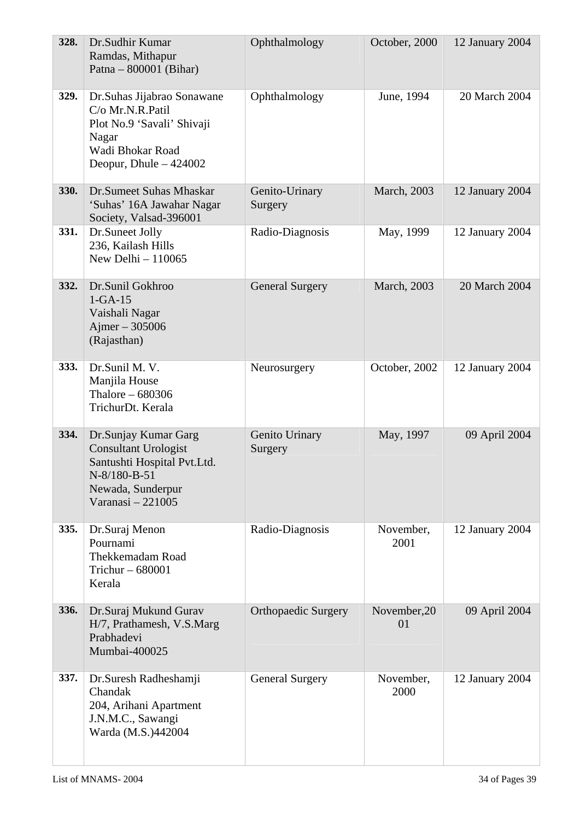| 328. | Dr.Sudhir Kumar<br>Ramdas, Mithapur<br>Patna – $800001$ (Bihar)                                                                              | Ophthalmology              | October, 2000      | 12 January 2004 |
|------|----------------------------------------------------------------------------------------------------------------------------------------------|----------------------------|--------------------|-----------------|
| 329. | Dr. Suhas Jijabrao Sonawane<br>C/o Mr.N.R.Patil<br>Plot No.9 'Savali' Shivaji<br>Nagar<br>Wadi Bhokar Road<br>Deopur, Dhule $-424002$        | Ophthalmology              | June, 1994         | 20 March 2004   |
| 330. | Dr.Sumeet Suhas Mhaskar<br>'Suhas' 16A Jawahar Nagar<br>Society, Valsad-396001                                                               | Genito-Urinary<br>Surgery  | March, 2003        | 12 January 2004 |
| 331. | Dr.Suneet Jolly<br>236, Kailash Hills<br>New Delhi $-110065$                                                                                 | Radio-Diagnosis            | May, 1999          | 12 January 2004 |
| 332. | Dr.Sunil Gokhroo<br>$1-GA-15$<br>Vaishali Nagar<br>Ajmer $-305006$<br>(Rajasthan)                                                            | <b>General Surgery</b>     | March, 2003        | 20 March 2004   |
| 333. | Dr.Sunil M. V.<br>Manjila House<br>Thalore $-680306$<br>TrichurDt. Kerala                                                                    | Neurosurgery               | October, 2002      | 12 January 2004 |
| 334. | Dr.Sunjay Kumar Garg<br><b>Consultant Urologist</b><br>Santushti Hospital Pvt.Ltd.<br>N-8/180-B-51<br>Newada, Sunderpur<br>Varanasi - 221005 | Genito Urinary<br>Surgery  | May, 1997          | 09 April 2004   |
| 335. | Dr.Suraj Menon<br>Pournami<br>Thekkemadam Road<br>Trichur $-680001$<br>Kerala                                                                | Radio-Diagnosis            | November,<br>2001  | 12 January 2004 |
| 336. | Dr.Suraj Mukund Gurav<br>H/7, Prathamesh, V.S.Marg<br>Prabhadevi<br>Mumbai-400025                                                            | <b>Orthopaedic Surgery</b> | November, 20<br>01 | 09 April 2004   |
| 337. | Dr.Suresh Radheshamji<br>Chandak<br>204, Arihani Apartment<br>J.N.M.C., Sawangi<br>Warda (M.S.)442004                                        | <b>General Surgery</b>     | November,<br>2000  | 12 January 2004 |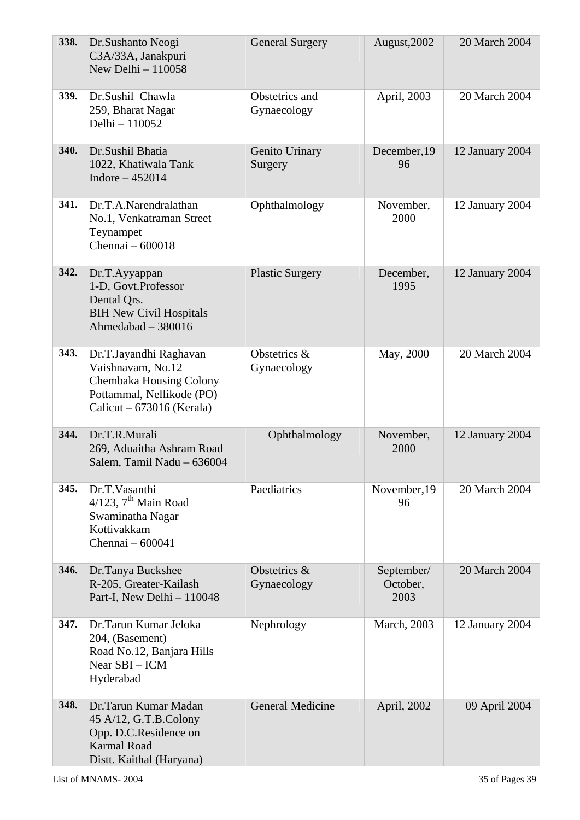| 338. | Dr.Sushanto Neogi<br>C3A/33A, Janakpuri<br>New Delhi $-110058$                                                                     | <b>General Surgery</b>        | August, 2002                   | 20 March 2004   |
|------|------------------------------------------------------------------------------------------------------------------------------------|-------------------------------|--------------------------------|-----------------|
| 339. | Dr.Sushil Chawla<br>259, Bharat Nagar<br>Delhi - 110052                                                                            | Obstetrics and<br>Gynaecology | April, 2003                    | 20 March 2004   |
| 340. | Dr.Sushil Bhatia<br>1022, Khatiwala Tank<br>Indore $-452014$                                                                       | Genito Urinary<br>Surgery     | December, 19<br>96             | 12 January 2004 |
| 341. | Dr.T.A.Narendralathan<br>No.1, Venkatraman Street<br>Teynampet<br>Chennai - 600018                                                 | Ophthalmology                 | November,<br>2000              | 12 January 2004 |
| 342. | Dr.T.Ayyappan<br>1-D, Govt.Professor<br>Dental Qrs.<br><b>BIH New Civil Hospitals</b><br>Ahmedabad $-380016$                       | <b>Plastic Surgery</b>        | December,<br>1995              | 12 January 2004 |
| 343. | Dr.T.Jayandhi Raghavan<br>Vaishnavam, No.12<br>Chembaka Housing Colony<br>Pottammal, Nellikode (PO)<br>Calicut – $673016$ (Kerala) | Obstetrics &<br>Gynaecology   | May, 2000                      | 20 March 2004   |
| 344. | Dr.T.R.Murali<br>269, Aduaitha Ashram Road<br>Salem, Tamil Nadu - 636004                                                           | Ophthalmology                 | November,<br>2000              | 12 January 2004 |
| 345. | Dr.T.Vasanthi<br>$4/123$ , $7th$ Main Road<br>Swaminatha Nagar<br>Kottivakkam<br>Chennai - 600041                                  | Paediatrics                   | November, 19<br>96             | 20 March 2004   |
| 346. | Dr.Tanya Buckshee<br>R-205, Greater-Kailash<br>Part-I, New Delhi - 110048                                                          | Obstetrics &<br>Gynaecology   | September/<br>October,<br>2003 | 20 March 2004   |
| 347. | Dr.Tarun Kumar Jeloka<br>204, (Basement)<br>Road No.12, Banjara Hills<br>Near SBI - ICM<br>Hyderabad                               | Nephrology                    | March, 2003                    | 12 January 2004 |
| 348. | Dr.Tarun Kumar Madan<br>45 A/12, G.T.B.Colony<br>Opp. D.C.Residence on<br><b>Karmal Road</b><br>Distt. Kaithal (Haryana)           | <b>General Medicine</b>       | April, 2002                    | 09 April 2004   |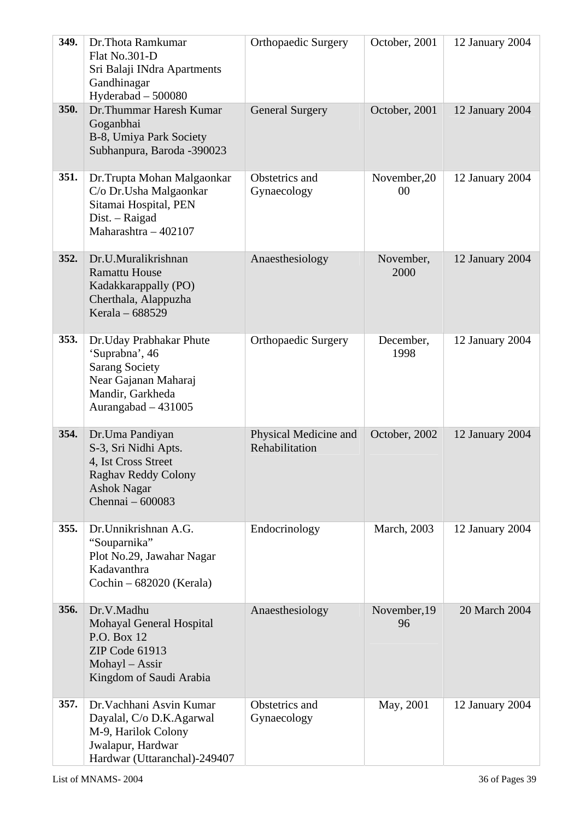| 349. | Dr. Thota Ramkumar<br>Flat No.301-D<br>Sri Balaji INdra Apartments<br>Gandhinagar<br>Hyderabad - 500080                                | <b>Orthopaedic Surgery</b>              | October, 2001      | 12 January 2004 |
|------|----------------------------------------------------------------------------------------------------------------------------------------|-----------------------------------------|--------------------|-----------------|
| 350. | Dr. Thummar Haresh Kumar<br>Goganbhai<br>B-8, Umiya Park Society<br>Subhanpura, Baroda -390023                                         | <b>General Surgery</b>                  | October, 2001      | 12 January 2004 |
| 351. | Dr.Trupta Mohan Malgaonkar<br>C/o Dr. Usha Malgaonkar<br>Sitamai Hospital, PEN<br>Dist. - Raigad<br>Maharashtra - 402107               | Obstetrics and<br>Gynaecology           | November, 20<br>00 | 12 January 2004 |
| 352. | Dr.U.Muralikrishnan<br><b>Ramattu House</b><br>Kadakkarappally (PO)<br>Cherthala, Alappuzha<br>Kerala - 688529                         | Anaesthesiology                         | November,<br>2000  | 12 January 2004 |
| 353. | Dr.Uday Prabhakar Phute<br>'Suprabna', 46<br><b>Sarang Society</b><br>Near Gajanan Maharaj<br>Mandir, Garkheda<br>Aurangabad - 431005  | <b>Orthopaedic Surgery</b>              | December,<br>1998  | 12 January 2004 |
| 354. | Dr.Uma Pandiyan<br>S-3, Sri Nidhi Apts.<br>4, Ist Cross Street<br><b>Raghav Reddy Colony</b><br><b>Ashok Nagar</b><br>Chennai - 600083 | Physical Medicine and<br>Rehabilitation | October, 2002      | 12 January 2004 |
| 355. | Dr. Unnikrishnan A.G.<br>"Souparnika"<br>Plot No.29, Jawahar Nagar<br>Kadavanthra<br>Cochin $-682020$ (Kerala)                         | Endocrinology                           | March, 2003        | 12 January 2004 |
| 356. | Dr.V.Madhu<br>Mohayal General Hospital<br>P.O. Box 12<br>ZIP Code 61913<br>Mohayl - Assir<br>Kingdom of Saudi Arabia                   | Anaesthesiology                         | November, 19<br>96 | 20 March 2004   |
| 357. | Dr. Vachhani Asvin Kumar<br>Dayalal, C/o D.K.Agarwal<br>M-9, Harilok Colony<br>Jwalapur, Hardwar<br>Hardwar (Uttaranchal)-249407       | Obstetrics and<br>Gynaecology           | May, 2001          | 12 January 2004 |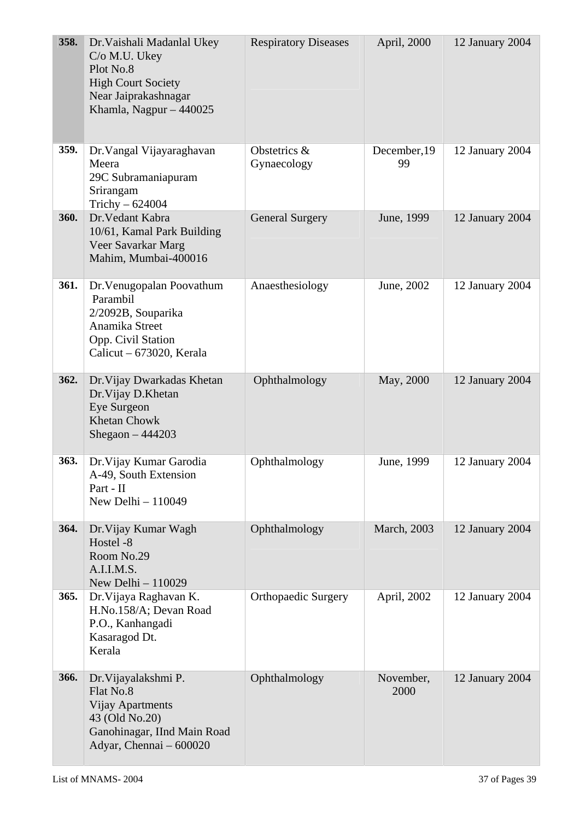| 358. | Dr. Vaishali Madanlal Ukey<br>C/o M.U. Ukey<br>Plot No.8<br><b>High Court Society</b><br>Near Jaiprakashnagar<br>Khamla, Nagpur $-440025$ | <b>Respiratory Diseases</b> | April, 2000        | 12 January 2004 |
|------|-------------------------------------------------------------------------------------------------------------------------------------------|-----------------------------|--------------------|-----------------|
| 359. | Dr. Vangal Vijayaraghavan<br>Meera<br>29C Subramaniapuram<br>Srirangam<br>Trichy $-624004$                                                | Obstetrics &<br>Gynaecology | December, 19<br>99 | 12 January 2004 |
| 360. | Dr. Vedant Kabra<br>10/61, Kamal Park Building<br>Veer Savarkar Marg<br>Mahim, Mumbai-400016                                              | <b>General Surgery</b>      | June, 1999         | 12 January 2004 |
| 361. | Dr. Venugopalan Poovathum<br>Parambil<br>2/2092B, Souparika<br>Anamika Street<br>Opp. Civil Station<br>Calicut – 673020, Kerala           | Anaesthesiology             | June, 2002         | 12 January 2004 |
| 362. | Dr. Vijay Dwarkadas Khetan<br>Dr. Vijay D. Khetan<br>Eye Surgeon<br><b>Khetan Chowk</b><br>Shegaon $-444203$                              | Ophthalmology               | May, 2000          | 12 January 2004 |
| 363. | Dr. Vijay Kumar Garodia<br>A-49, South Extension<br>Part - II<br>New Delhi $-110049$                                                      | Ophthalmology               | June, 1999         | 12 January 2004 |
| 364. | Dr. Vijay Kumar Wagh<br>Hostel -8<br>Room No.29<br>A.I.I.M.S.<br>New Delhi - 110029                                                       | Ophthalmology               | March, 2003        | 12 January 2004 |
| 365. | Dr. Vijaya Raghavan K.<br>H.No.158/A; Devan Road<br>P.O., Kanhangadi<br>Kasaragod Dt.<br>Kerala                                           | <b>Orthopaedic Surgery</b>  | April, 2002        | 12 January 2004 |
| 366. | Dr. Vijayalakshmi P.<br>Flat No.8<br><b>Vijay Apartments</b><br>43 (Old No.20)<br>Ganohinagar, IInd Main Road<br>Adyar, Chennai - 600020  | Ophthalmology               | November,<br>2000  | 12 January 2004 |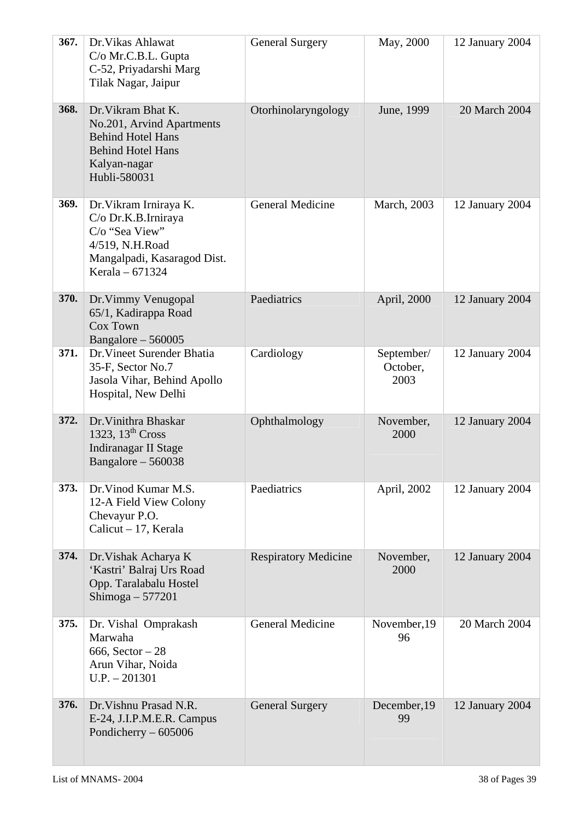| 367. | Dr. Vikas Ahlawat<br>C/o Mr.C.B.L. Gupta<br>C-52, Priyadarshi Marg<br>Tilak Nagar, Jaipur                                               | <b>General Surgery</b>      | May, 2000                      | 12 January 2004 |
|------|-----------------------------------------------------------------------------------------------------------------------------------------|-----------------------------|--------------------------------|-----------------|
| 368. | Dr. Vikram Bhat K.<br>No.201, Arvind Apartments<br><b>Behind Hotel Hans</b><br><b>Behind Hotel Hans</b><br>Kalyan-nagar<br>Hubli-580031 | Otorhinolaryngology         | June, 1999                     | 20 March 2004   |
| 369. | Dr. Vikram Irniraya K.<br>C/o Dr.K.B.Irniraya<br>C/o "Sea View"<br>4/519, N.H.Road<br>Mangalpadi, Kasaragod Dist.<br>Kerala - 671324    | <b>General Medicine</b>     | March, 2003                    | 12 January 2004 |
| 370. | Dr. Vimmy Venugopal<br>65/1, Kadirappa Road<br>Cox Town<br>Bangalore $-560005$                                                          | Paediatrics                 | April, 2000                    | 12 January 2004 |
| 371. | Dr. Vineet Surender Bhatia<br>35-F, Sector No.7<br>Jasola Vihar, Behind Apollo<br>Hospital, New Delhi                                   | Cardiology                  | September/<br>October,<br>2003 | 12 January 2004 |
| 372. | Dr. Vinithra Bhaskar<br>1323, $13th Cross$<br><b>Indiranagar II Stage</b><br>Bangalore $-560038$                                        | Ophthalmology               | November,<br>2000              | 12 January 2004 |
| 373. | Dr. Vinod Kumar M.S.<br>12-A Field View Colony<br>Chevayur P.O.<br>Calicut $-17$ , Kerala                                               | Paediatrics                 | April, 2002                    | 12 January 2004 |
| 374. | Dr. Vishak Acharya K<br>'Kastri' Balraj Urs Road<br>Opp. Taralabalu Hostel<br>Shimoga $-577201$                                         | <b>Respiratory Medicine</b> | November,<br>2000              | 12 January 2004 |
| 375. | Dr. Vishal Omprakash<br>Marwaha<br>666, Sector $-28$<br>Arun Vihar, Noida<br>$U.P. - 201301$                                            | <b>General Medicine</b>     | November, 19<br>96             | 20 March 2004   |
| 376. | Dr. Vishnu Prasad N.R.<br>E-24, J.I.P.M.E.R. Campus<br>Pondicherry $-605006$                                                            | <b>General Surgery</b>      | December, 19<br>99             | 12 January 2004 |